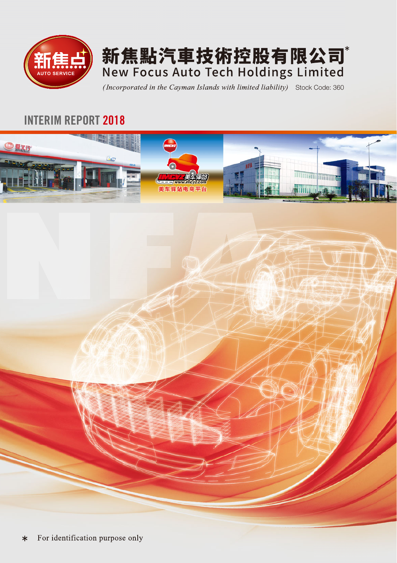



(Incorporated in the Cayman Islands with limited liability) Stock Code: 360

### INTERIM REPORT 2018



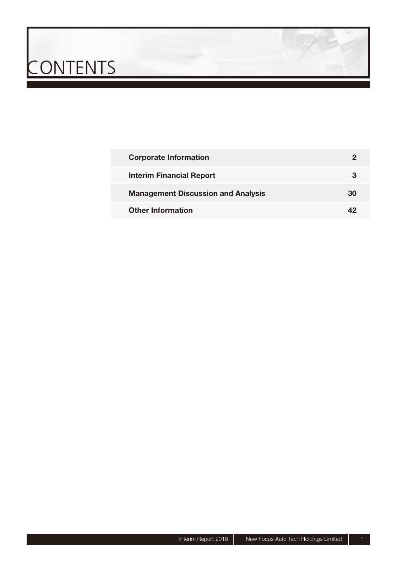# CONTENTS

| <b>Corporate Information</b>              |    |
|-------------------------------------------|----|
| <b>Interim Financial Report</b>           |    |
| <b>Management Discussion and Analysis</b> | 30 |
| <b>Other Information</b>                  |    |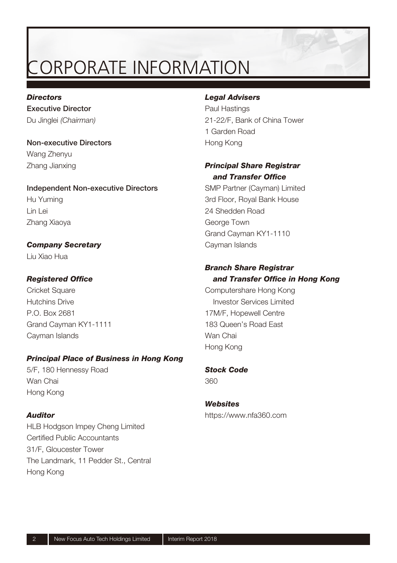### ORPORATE INFORMATION

#### *Directors*

**Executive Director** Du Jinglei (Chairman)

**Non-executive Directors** Wang Zhenyu Zhang Jianxing

**Independent Non-executive Directors** Hu Yuming Lin Lei Zhang Xiaoya

#### *Company Secretary*

Liu Xiao Hua

#### **Registered Office**

Cricket Square Hutchins Drive P.O. Box 2681 Grand Cayman KY1-1111 Cayman Islands

#### *Principal Place of Business in Hong Kong*

5/F, 180 Hennessy Road Wan Chai Hong Kong

#### *Auditor*

HLB Hodgson Impey Cheng Limited Certified Public Accountants 31/F, Gloucester Tower The Landmark, 11 Pedder St., Central Hong Kong

#### *Legal Advisers*

Paul Hastings 21-22/F, Bank of China Tower 1 Garden Road Hong Kong

#### *Principal Share Registrar*  and **Transfer Office**

SMP Partner (Cayman) Limited 3rd Floor, Royal Bank House 24 Shedden Road George Town Grand Cayman KY1-1110 Cayman Islands

#### *Branch Share Registrar* and Transfer Office in Hong Kong

Computershare Hong Kong Investor Services Limited 17M/F, Hopewell Centre 183 Queen's Road East Wan Chai Hong Kong

#### *Stock Code*

360

#### *Websites*

https://www.nfa360.com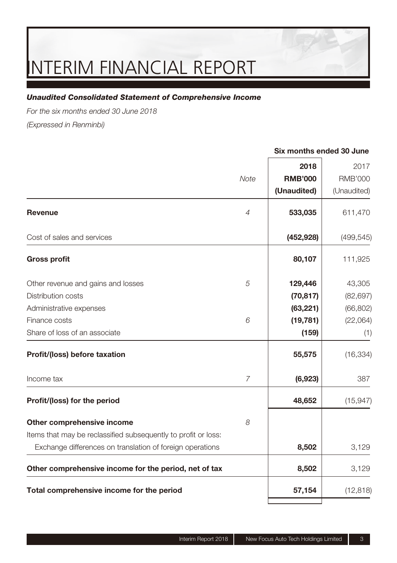#### *Unaudited Consolidated Statement of Comprehensive Income*

For the six months ended 30 June 2018

(Expressed in Renminbi)

|                                                                |                | 2018           | 2017           |
|----------------------------------------------------------------|----------------|----------------|----------------|
|                                                                | Note           | <b>RMB'000</b> | <b>RMB'000</b> |
|                                                                |                | (Unaudited)    | (Unaudited)    |
| Revenue                                                        | $\overline{4}$ | 533,035        | 611,470        |
| Cost of sales and services                                     |                | (452, 928)     | (499, 545)     |
| <b>Gross profit</b>                                            |                | 80,107         | 111,925        |
| Other revenue and gains and losses                             | 5              | 129,446        | 43,305         |
| Distribution costs                                             |                | (70, 817)      | (82, 697)      |
| Administrative expenses                                        |                | (63, 221)      | (66, 802)      |
| Finance costs                                                  | 6              | (19, 781)      | (22,064)       |
| Share of loss of an associate                                  |                | (159)          | (1)            |
| Profit/(loss) before taxation                                  |                | 55,575         | (16, 334)      |
| Income tax                                                     | $\overline{7}$ | (6,923)        | 387            |
| Profit/(loss) for the period                                   |                | 48,652         | (15, 947)      |
| Other comprehensive income                                     | 8              |                |                |
| Items that may be reclassified subsequently to profit or loss: |                |                |                |
| Exchange differences on translation of foreign operations      |                | 8,502          | 3,129          |
| Other comprehensive income for the period, net of tax          |                | 8,502          | 3,129          |
| Total comprehensive income for the period                      |                | 57,154         | (12, 818)      |
|                                                                |                |                |                |

#### Interim Report 2018 New Focus Auto Tech Holdings Limited 3

**Six months ended 30 June**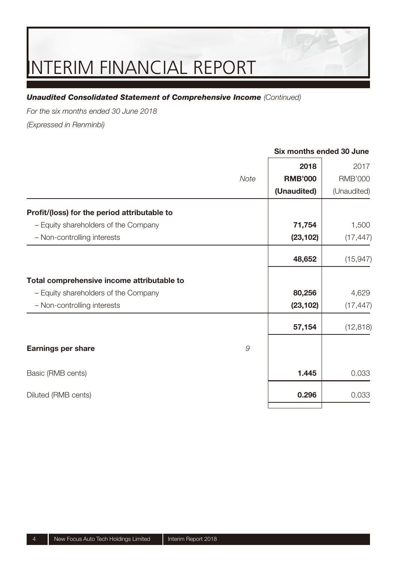#### **Unaudited Consolidated Statement of Comprehensive Income (Continued)**

For the six months ended 30 June 2018

(Expressed in Renminbi)

|                                              |      | 2018           | 2017           |
|----------------------------------------------|------|----------------|----------------|
|                                              | Note | <b>RMB'000</b> | <b>RMB'000</b> |
|                                              |      | (Unaudited)    | (Unaudited)    |
| Profit/(loss) for the period attributable to |      |                |                |
| - Equity shareholders of the Company         |      | 71,754         | 1,500          |
| - Non-controlling interests                  |      | (23, 102)      | (17, 447)      |
|                                              |      | 48,652         | (15, 947)      |
| Total comprehensive income attributable to   |      |                |                |
| - Equity shareholders of the Company         |      | 80,256         | 4,629          |
| - Non-controlling interests                  |      | (23, 102)      | (17, 447)      |
|                                              |      | 57,154         | (12, 818)      |
| Earnings per share                           | 9    |                |                |
| Basic (RMB cents)                            |      | 1.445          | 0.033          |
| Diluted (RMB cents)                          |      | 0.296          | 0.033          |
|                                              |      |                |                |

**Six months ended 30 June**

#### 4 New Focus Auto Tech Holdings Limited | Interim Report 2018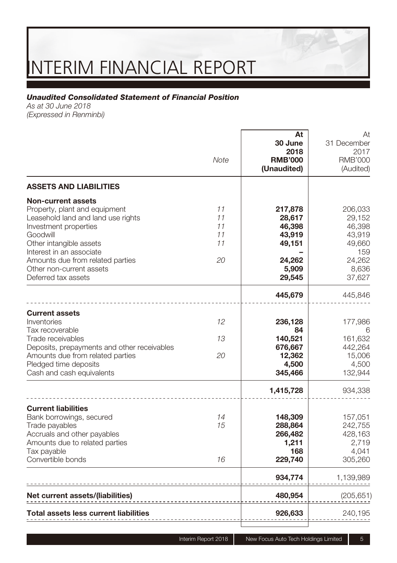#### *Unaudited Consolidated Statement of Financial Position*

As at 30 June 2018 (Expressed in Renminbi)

|                                                                                                                                                                                                                       | Note                       | At<br>30 June<br>2018<br><b>RMB'000</b><br>(Unaudited)            | At<br>31 December<br>2017<br><b>RMB'000</b><br>(Audited)         |
|-----------------------------------------------------------------------------------------------------------------------------------------------------------------------------------------------------------------------|----------------------------|-------------------------------------------------------------------|------------------------------------------------------------------|
| <b>ASSETS AND LIABILITIES</b>                                                                                                                                                                                         |                            |                                                                   |                                                                  |
| <b>Non-current assets</b><br>Property, plant and equipment<br>Leasehold land and land use rights<br>Investment properties<br>Goodwill<br>Other intangible assets<br>Interest in an associate                          | 11<br>11<br>11<br>11<br>11 | 217,878<br>28,617<br>46,398<br>43,919<br>49,151                   | 206,033<br>29,152<br>46,398<br>43,919<br>49,660<br>159           |
| Amounts due from related parties<br>Other non-current assets<br>Deferred tax assets                                                                                                                                   | 20                         | 24,262<br>5,909<br>29,545                                         | 24.262<br>8,636<br>37,627                                        |
|                                                                                                                                                                                                                       |                            | 445,679                                                           | 445,846                                                          |
| <b>Current assets</b><br>Inventories<br>Tax recoverable<br>Trade receivables<br>Deposits, prepayments and other receivables<br>Amounts due from related parties<br>Pledged time deposits<br>Cash and cash equivalents | 12<br>13<br>20             | 236,128<br>84<br>140,521<br>676,667<br>12,362<br>4,500<br>345,466 | 177,986<br>6<br>161,632<br>442,264<br>15,006<br>4,500<br>132,944 |
|                                                                                                                                                                                                                       |                            | 1,415,728                                                         | 934,338                                                          |
| <b>Current liabilities</b><br>Bank borrowings, secured<br>Trade payables<br>Accruals and other payables<br>Amounts due to related parties<br>Tax payable<br>Convertible bonds                                         | 14<br>15<br>16             | 148,309<br>288,864<br>266,482<br>1,211<br>168<br>229,740          | 157,051<br>242,755<br>428,163<br>2,719<br>4,041<br>305,260       |
|                                                                                                                                                                                                                       |                            | 934,774                                                           | 1,139,989                                                        |
| Net current assets/(liabilities)                                                                                                                                                                                      |                            | 480,954                                                           | (205, 651)                                                       |
| Total assets less current liabilities                                                                                                                                                                                 |                            | 926,633                                                           | 240,195                                                          |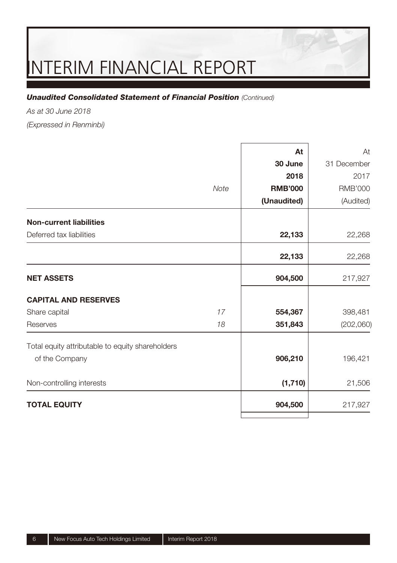#### **Unaudited Consolidated Statement of Financial Position (Continued)**

As at 30 June 2018

(Expressed in Renminbi)

|                                                  |      | At             | At             |
|--------------------------------------------------|------|----------------|----------------|
|                                                  |      | 30 June        | 31 December    |
|                                                  |      | 2018           | 2017           |
|                                                  | Note | <b>RMB'000</b> | <b>RMB'000</b> |
|                                                  |      | (Unaudited)    | (Audited)      |
| <b>Non-current liabilities</b>                   |      |                |                |
| Deferred tax liabilities                         |      | 22,133         | 22,268         |
|                                                  |      | 22,133         | 22,268         |
| <b>NET ASSETS</b>                                |      | 904,500        | 217,927        |
| <b>CAPITAL AND RESERVES</b>                      |      |                |                |
| Share capital                                    | 17   | 554,367        | 398,481        |
| Reserves                                         | 18   | 351,843        | (202,060)      |
| Total equity attributable to equity shareholders |      |                |                |
| of the Company                                   |      | 906,210        | 196,421        |
| Non-controlling interests                        |      | (1,710)        | 21,506         |
| <b>TOTAL EQUITY</b>                              |      | 904,500        | 217,927        |
|                                                  |      |                |                |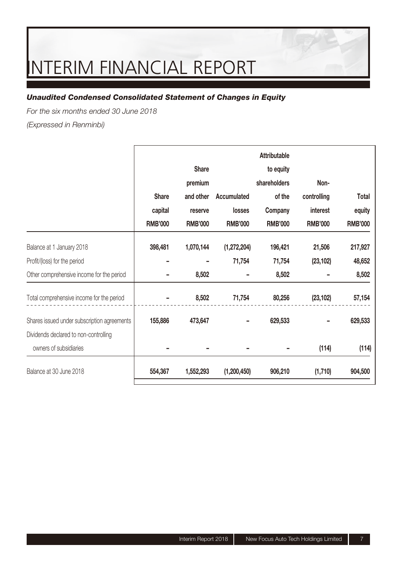#### *Unaudited Condensed Consolidated Statement of Changes in Equity*

For the six months ended 30 June 2018

(Expressed in Renminbi)

|                                             |                |                |                | Attributable   |                |                |
|---------------------------------------------|----------------|----------------|----------------|----------------|----------------|----------------|
|                                             |                | Share          |                | to equity      |                |                |
|                                             |                | premium        |                | shareholders   | Non-           |                |
|                                             | Share          | and other      | Accumulated    | of the         | controlling    | Total          |
|                                             | capital        | reserve        | losses         | Company        | interest       | equity         |
|                                             | <b>RMB'000</b> | <b>RMB'000</b> | <b>RMB'000</b> | <b>RMB'000</b> | <b>RMB'000</b> | <b>RMB'000</b> |
| Balance at 1 January 2018                   | 398,481        | 1,070,144      | (1,272,204)    | 196,421        | 21,506         | 217,927        |
| Profit/(loss) for the period                |                |                | 71,754         | 71,754         | (23, 102)      | 48,652         |
| Other comprehensive income for the period   |                | 8,502          |                | 8,502          |                | 8,502          |
| Total comprehensive income for the period   |                | 8,502          | 71,754         | 80,256         | (23, 102)      | 57,154         |
| Shares issued under subscription agreements | 155,886        | 473,647        |                | 629,533        |                | 629,533        |
| Dividends declared to non-controlling       |                |                |                |                |                |                |
| owners of subsidiaries                      |                |                |                |                | (114)          | (114)          |
| Balance at 30 June 2018                     | 554,367        | 1,552,293      | (1,200,450)    | 906,210        | (1,710)        | 904,500        |
|                                             |                |                |                |                |                |                |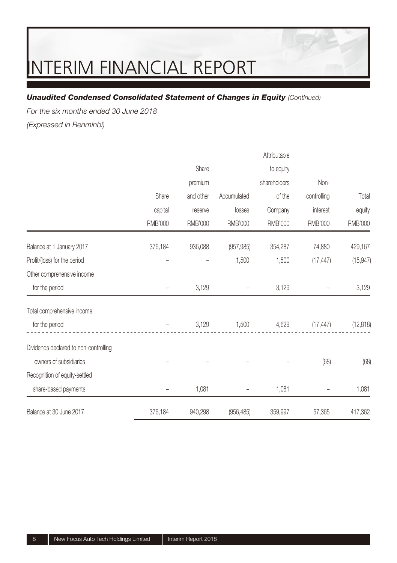#### *Unaudited Condensed Consolidated Statement of Changes in Equity (Continued)*

For the six months ended 30 June 2018

(Expressed in Renminbi)

|                                       |                |           |                | Attributable |                |                |
|---------------------------------------|----------------|-----------|----------------|--------------|----------------|----------------|
|                                       |                | Share     |                | to equity    |                |                |
|                                       |                | premium   |                | shareholders | Non-           |                |
|                                       | Share          | and other | Accumulated    | of the       | controlling    | Total          |
|                                       | capital        | reserve   | losses         | Company      | interest       | equity         |
|                                       | <b>RMB'000</b> | RMB'000   | <b>RMB'000</b> | RMB'000      | <b>RMB'000</b> | <b>RMB'000</b> |
| Balance at 1 January 2017             | 376,184        | 936,088   | (957, 985)     | 354,287      | 74,880         | 429,167        |
| Profit/(loss) for the period          |                |           | 1,500          | 1,500        | (17, 447)      | (15, 947)      |
| Other comprehensive income            |                |           |                |              |                |                |
| for the period                        |                | 3,129     |                | 3,129        |                | 3,129          |
| Total comprehensive income            |                |           |                |              |                |                |
| for the period                        |                | 3,129     | 1,500          | 4,629        | (17, 447)      | (12, 818)      |
| Dividends declared to non-controlling |                |           |                |              |                |                |
| owners of subsidiaries                |                |           |                |              | (68)           | (68)           |
| Recognition of equity-settled         |                |           |                |              |                |                |
| share-based payments                  |                | 1,081     |                | 1,081        |                | 1,081          |
| Balance at 30 June 2017               | 376,184        | 940,298   | (956, 485)     | 359,997      | 57,365         | 417,362        |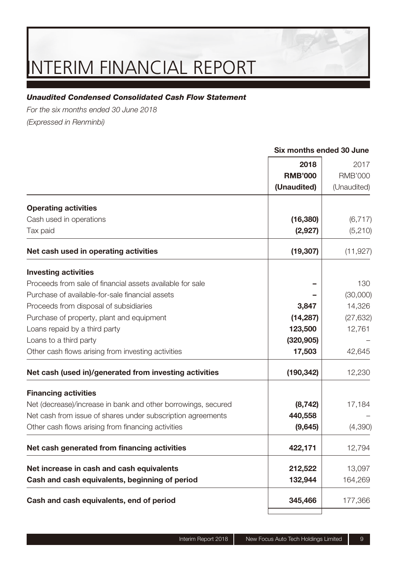#### *Unaudited Condensed Consolidated Cash Flow Statement*

For the six months ended 30 June 2018 (Expressed in Renminbi)

| Cash and cash equivalents, end of period                                                     | 345,466              | 177,366             |
|----------------------------------------------------------------------------------------------|----------------------|---------------------|
| Cash and cash equivalents, beginning of period                                               | 132,944              | 164,269             |
| Net increase in cash and cash equivalents                                                    | 212,522              | 13,097              |
| Net cash generated from financing activities                                                 | 422,171              | 12,794              |
| Other cash flows arising from financing activities                                           | (9,645)              | (4,390)             |
| Net cash from issue of shares under subscription agreements                                  | 440,558              |                     |
| <b>Financing activities</b><br>Net (decrease)/increase in bank and other borrowings, secured | (8, 742)             | 17,184              |
| Net cash (used in)/generated from investing activities                                       | (190, 342)           | 12,230              |
| Other cash flows arising from investing activities                                           | 17,503               | 42,645              |
| Loans to a third party                                                                       | (320, 905)           |                     |
| Loans repaid by a third party                                                                | 123,500              | 12,761              |
| Purchase of property, plant and equipment                                                    | (14, 287)            | (27, 632)           |
| Proceeds from disposal of subsidiaries                                                       | 3,847                | 14,326              |
| Purchase of available-for-sale financial assets                                              |                      | (30,000)            |
| <b>Investing activities</b><br>Proceeds from sale of financial assets available for sale     |                      | 130                 |
| Net cash used in operating activities                                                        | (19, 307)            | (11, 927)           |
|                                                                                              |                      |                     |
| Cash used in operations<br>Tax paid                                                          | (16, 380)<br>(2,927) | (6, 717)<br>(5,210) |
| <b>Operating activities</b>                                                                  |                      |                     |
|                                                                                              | (Unaudited)          | (Unaudited)         |
|                                                                                              | <b>RMB'000</b>       | <b>RMB'000</b>      |
|                                                                                              | 2018                 | 2017                |

**Six months ended 30 June**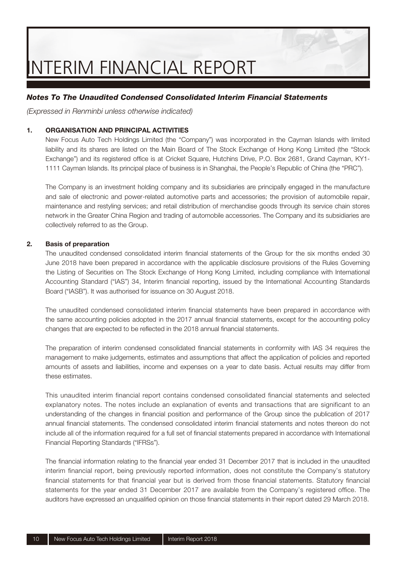#### *Notes To The Unaudited Condensed Consolidated Interim Financial Statements*

(Expressed in Renminbi unless otherwise indicated)

#### **1. ORGANISATION AND PRINCIPAL ACTIVITIES**

New Focus Auto Tech Holdings Limited (the "Company") was incorporated in the Cayman Islands with limited liability and its shares are listed on the Main Board of The Stock Exchange of Hong Kong Limited (the "Stock Exchange") and its registered office is at Cricket Square, Hutchins Drive, P.O. Box 2681, Grand Cayman, KY1-1111 Cayman Islands. Its principal place of business is in Shanghai, the People's Republic of China (the "PRC").

The Company is an investment holding company and its subsidiaries are principally engaged in the manufacture and sale of electronic and power-related automotive parts and accessories; the provision of automobile repair, maintenance and restyling services; and retail distribution of merchandise goods through its service chain stores network in the Greater China Region and trading of automobile accessories. The Company and its subsidiaries are collectively referred to as the Group.

#### **2. Basis of preparation**

The unaudited condensed consolidated interim financial statements of the Group for the six months ended 30 June 2018 have been prepared in accordance with the applicable disclosure provisions of the Rules Governing the Listing of Securities on The Stock Exchange of Hong Kong Limited, including compliance with International Accounting Standard ("IAS") 34, Interim financial reporting, issued by the International Accounting Standards Board ("IASB"). It was authorised for issuance on 30 August 2018.

The unaudited condensed consolidated interim financial statements have been prepared in accordance with the same accounting policies adopted in the 2017 annual financial statements, except for the accounting policy changes that are expected to be reflected in the 2018 annual financial statements.

The preparation of interim condensed consolidated financial statements in conformity with IAS 34 requires the management to make judgements, estimates and assumptions that affect the application of policies and reported amounts of assets and liabilities, income and expenses on a year to date basis. Actual results may differ from these estimates.

This unaudited interim financial report contains condensed consolidated financial statements and selected explanatory notes. The notes include an explanation of events and transactions that are significant to an understanding of the changes in financial position and performance of the Group since the publication of 2017 annual financial statements. The condensed consolidated interim financial statements and notes thereon do not include all of the information required for a full set of financial statements prepared in accordance with International Financial Reporting Standards ("IFRSs").

The financial information relating to the financial year ended 31 December 2017 that is included in the unaudited interim financial report, being previously reported information, does not constitute the Company's statutory financial statements for that financial year but is derived from those financial statements. Statutory financial statements for the year ended 31 December 2017 are available from the Company's registered office. The auditors have expressed an unqualified opinion on those financial statements in their report dated 29 March 2018.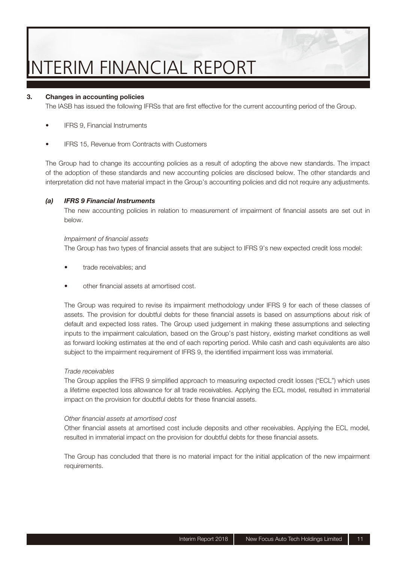#### **3. Changes in accounting policies**

The IASB has issued the following IFRSs that are first effective for the current accounting period of the Group.

- IFRS 9, Financial Instruments
- IFRS 15, Revenue from Contracts with Customers

The Group had to change its accounting policies as a result of adopting the above new standards. The impact of the adoption of these standards and new accounting policies are disclosed below. The other standards and interpretation did not have material impact in the Group's accounting policies and did not require any adjustments.

#### *(a) IFRS 9 Financial Instruments*

The new accounting policies in relation to measurement of impairment of financial assets are set out in below.

#### Impairment of financial assets

The Group has two types of financial assets that are subject to IFRS 9's new expected credit loss model:

- trade receivables; and
- other fi nancial assets at amortised cost.

The Group was required to revise its impairment methodology under IFRS 9 for each of these classes of assets. The provision for doubtful debts for these financial assets is based on assumptions about risk of default and expected loss rates. The Group used judgement in making these assumptions and selecting inputs to the impairment calculation, based on the Group's past history, existing market conditions as well as forward looking estimates at the end of each reporting period. While cash and cash equivalents are also subject to the impairment requirement of IFRS 9, the identified impairment loss was immaterial.

#### Trade receivables

The Group applies the IFRS 9 simplified approach to measuring expected credit losses ("ECL") which uses a lifetime expected loss allowance for all trade receivables. Applying the ECL model, resulted in immaterial impact on the provision for doubtful debts for these financial assets.

#### Other financial assets at amortised cost

Other financial assets at amortised cost include deposits and other receivables. Applying the ECL model, resulted in immaterial impact on the provision for doubtful debts for these financial assets.

The Group has concluded that there is no material impact for the initial application of the new impairment requirements.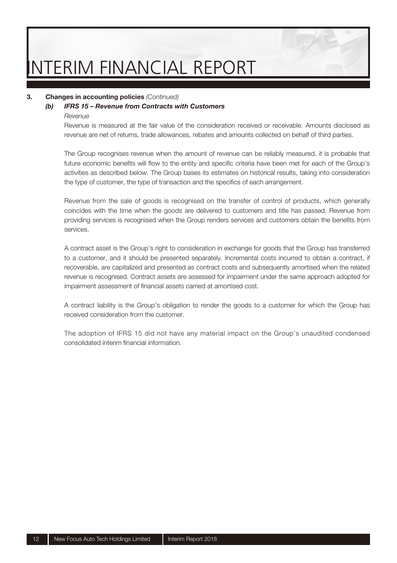#### **3. Changes in accounting policies** (Continued)

#### *(b) IFRS 15 – Revenue from Contracts with Customers*

#### Revenue

Revenue is measured at the fair value of the consideration received or receivable. Amounts disclosed as revenue are net of returns, trade allowances, rebates and amounts collected on behalf of third parties.

The Group recognises revenue when the amount of revenue can be reliably measured, it is probable that future economic benefits will flow to the entity and specific criteria have been met for each of the Group's activities as described below. The Group bases its estimates on historical results, taking into consideration the type of customer, the type of transaction and the specifics of each arrangement.

Revenue from the sale of goods is recognised on the transfer of control of products, which generally coincides with the time when the goods are delivered to customers and title has passed. Revenue from providing services is recognised when the Group renders services and customers obtain the benefits from services.

A contract asset is the Group's right to consideration in exchange for goods that the Group has transferred to a customer, and it should be presented separately. Incremental costs incurred to obtain a contract, if recoverable, are capitalized and presented as contract costs and subsequently amortised when the related revenue is recognised. Contract assets are assessed for impairment under the same approach adopted for impairment assessment of financial assets carried at amortised cost.

A contract liability is the Group's obligation to render the goods to a customer for which the Group has received consideration from the customer.

The adoption of IFRS 15 did not have any material impact on the Group's unaudited condensed consolidated interim financial information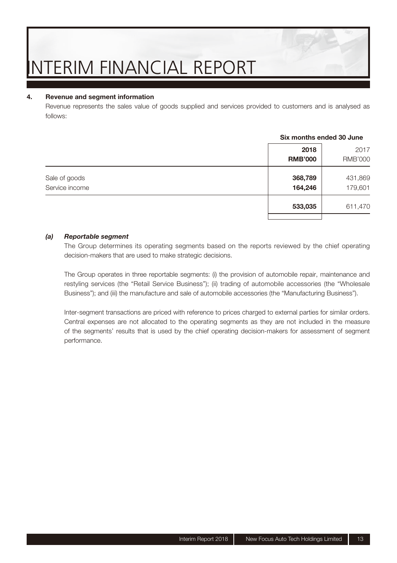#### **4. Revenue and segment information**

Revenue represents the sales value of goods supplied and services provided to customers and is analysed as follows:

|                                 | 2018<br><b>RMB'000</b> | 2017<br><b>RMB'000</b> |
|---------------------------------|------------------------|------------------------|
| Sale of goods<br>Service income | 368,789<br>164,246     | 431,869<br>179,601     |
|                                 | 533,035                | 611,470                |

#### **Six months ended 30 June**

#### *(a) Reportable segment*

The Group determines its operating segments based on the reports reviewed by the chief operating decision-makers that are used to make strategic decisions.

The Group operates in three reportable segments: (i) the provision of automobile repair, maintenance and restyling services (the "Retail Service Business"); (ii) trading of automobile accessories (the "Wholesale Business"); and (iii) the manufacture and sale of automobile accessories (the "Manufacturing Business").

Inter-segment transactions are priced with reference to prices charged to external parties for similar orders. Central expenses are not allocated to the operating segments as they are not included in the measure of the segments' results that is used by the chief operating decision-makers for assessment of segment performance.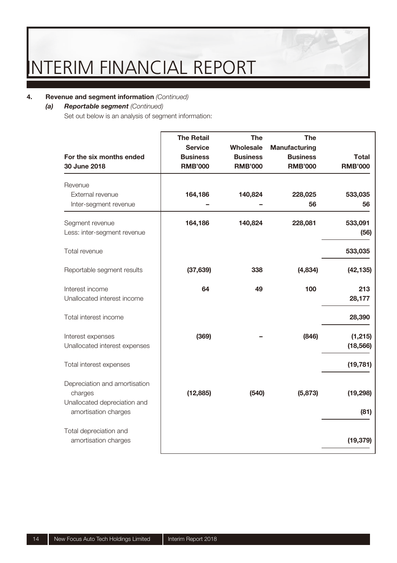#### **4.** Revenue and segment information (Continued)

#### *(a) Reportable segment* (Continued)

Set out below is an analysis of segment information:

| For the six months ended<br>30 June 2018                                                         | <b>The Retail</b><br><b>Service</b><br><b>Business</b><br><b>RMB'000</b> | The<br>Wholesale<br><b>Business</b><br><b>RMB'000</b> | The<br>Manufacturing<br><b>Business</b><br><b>RMB'000</b> | Total<br><b>RMB'000</b> |
|--------------------------------------------------------------------------------------------------|--------------------------------------------------------------------------|-------------------------------------------------------|-----------------------------------------------------------|-------------------------|
| Revenue<br>External revenue<br>Inter-segment revenue                                             | 164,186                                                                  | 140,824                                               | 228,025<br>56                                             | 533,035<br>56           |
| Segment revenue<br>Less: inter-segment revenue                                                   | 164,186                                                                  | 140,824                                               | 228,081                                                   | 533,091<br>(56)         |
| Total revenue                                                                                    |                                                                          |                                                       |                                                           | 533,035                 |
| Reportable segment results                                                                       | (37, 639)                                                                | 338                                                   | (4,834)                                                   | (42, 135)               |
| Interest income<br>Unallocated interest income                                                   | 64                                                                       | 49                                                    | 100                                                       | 213<br>28,177           |
| Total interest income                                                                            |                                                                          |                                                       |                                                           | 28,390                  |
| Interest expenses<br>Unallocated interest expenses                                               | (369)                                                                    |                                                       | (846)                                                     | (1, 215)<br>(18, 566)   |
| Total interest expenses                                                                          |                                                                          |                                                       |                                                           | (19, 781)               |
| Depreciation and amortisation<br>charges<br>Unallocated depreciation and<br>amortisation charges | (12, 885)                                                                | (540)                                                 | (5, 873)                                                  | (19, 298)<br>(81)       |
| Total depreciation and<br>amortisation charges                                                   |                                                                          |                                                       |                                                           | (19, 379)               |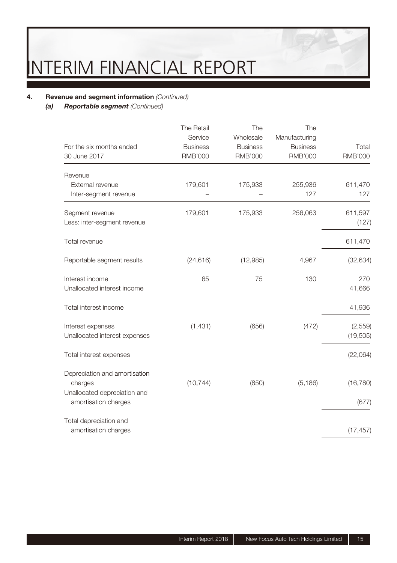### **4.** Revenue and segment information (Continued)<br>**(a)** Reportable segment (Continued)

**Reportable segment** (Continued)

| For the six months ended<br>30 June 2017                                 | The Retail<br>Service<br><b>Business</b><br><b>RMB'000</b> | The<br>Wholesale<br><b>Business</b><br><b>RMB'000</b> | The<br>Manufacturing<br><b>Business</b><br><b>RMB'000</b> | Total<br><b>RMB'000</b> |
|--------------------------------------------------------------------------|------------------------------------------------------------|-------------------------------------------------------|-----------------------------------------------------------|-------------------------|
| Revenue                                                                  |                                                            |                                                       |                                                           |                         |
| External revenue<br>Inter-segment revenue                                | 179,601                                                    | 175,933                                               | 255,936<br>127                                            | 611,470<br>127          |
| Segment revenue<br>Less: inter-segment revenue                           | 179,601                                                    | 175,933                                               | 256,063                                                   | 611,597<br>(127)        |
| Total revenue                                                            |                                                            |                                                       |                                                           | 611,470                 |
| Reportable segment results                                               | (24, 616)                                                  | (12,985)                                              | 4,967                                                     | (32, 634)               |
| Interest income<br>Unallocated interest income                           | 65                                                         | 75                                                    | 130                                                       | 270<br>41,666           |
| Total interest income                                                    |                                                            |                                                       |                                                           | 41,936                  |
| Interest expenses<br>Unallocated interest expenses                       | (1,431)                                                    | (656)                                                 | (472)                                                     | (2,559)<br>(19, 505)    |
| Total interest expenses                                                  |                                                            |                                                       |                                                           | (22,064)                |
| Depreciation and amortisation<br>charges<br>Unallocated depreciation and | (10, 744)                                                  | (850)                                                 | (5, 186)                                                  | (16, 780)               |
| amortisation charges                                                     |                                                            |                                                       |                                                           | (677)                   |
| Total depreciation and<br>amortisation charges                           |                                                            |                                                       |                                                           | (17, 457)               |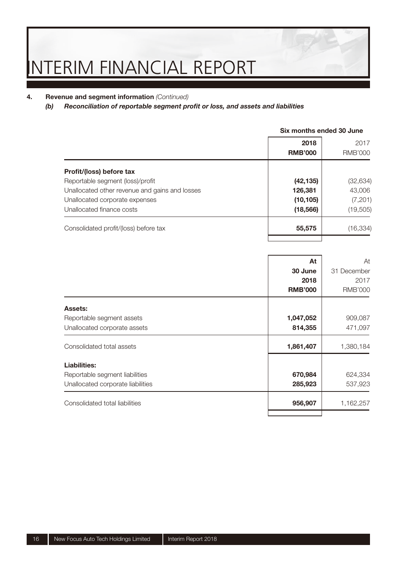### **4.** Revenue and segment information (Continued)<br>(b) Reconciliation of reportable segment pr

#### *Reconciliation of reportable segment profit or loss, and assets and liabilities*

|                                                | Six months ended 30 June |                        |  |
|------------------------------------------------|--------------------------|------------------------|--|
|                                                | 2018<br><b>RMB'000</b>   | 2017<br><b>RMB'000</b> |  |
| Profit/(loss) before tax                       |                          |                        |  |
| Reportable segment (loss)/profit               | (42, 135)                | (32, 634)              |  |
| Unallocated other revenue and gains and losses | 126,381                  | 43,006                 |  |
| Unallocated corporate expenses                 | (10, 105)                | (7, 201)               |  |
| Unallocated finance costs                      | (18, 566)                | (19,505)               |  |
| Consolidated profit/(loss) before tax          | 55,575                   | (16, 334)              |  |
|                                                |                          |                        |  |

|                                   | At<br>30 June<br>2018<br><b>RMB'000</b> | At<br>31 December<br>2017<br><b>RMB'000</b> |
|-----------------------------------|-----------------------------------------|---------------------------------------------|
| Assets:                           |                                         |                                             |
| Reportable segment assets         | 1,047,052                               | 909,087                                     |
| Unallocated corporate assets      | 814,355                                 | 471,097                                     |
| Consolidated total assets         | 1,861,407                               | 1,380,184                                   |
| Liabilities:                      |                                         |                                             |
| Reportable segment liabilities    | 670,984                                 | 624,334                                     |
| Unallocated corporate liabilities | 285,923                                 | 537,923                                     |
| Consolidated total liabilities    | 956,907                                 | 1,162,257                                   |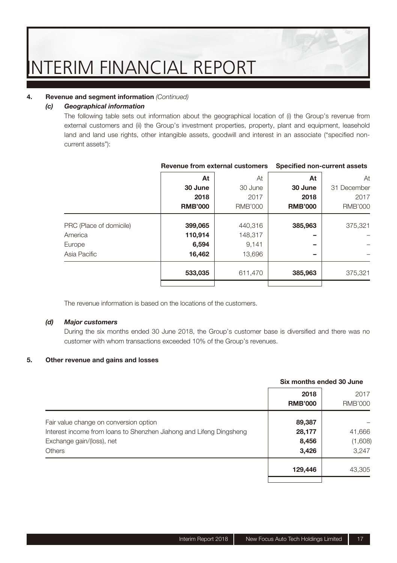#### **4.** Revenue and segment information (Continued)

#### *(c) Geographical information*

The following table sets out information about the geographical location of (i) the Group's revenue from external customers and (ii) the Group's investment properties, property, plant and equipment, leasehold land and land use rights, other intangible assets, goodwill and interest in an associate ("specified noncurrent assets"):

|                         | Revenue from external customers |                | Specified non-current assets |                |
|-------------------------|---------------------------------|----------------|------------------------------|----------------|
|                         | At                              | At             | At                           | At             |
|                         | 30 June                         | 30 June        | 30 June                      | 31 December    |
|                         | 2018                            | 2017           | 2018                         | 2017           |
|                         | <b>RMB'000</b>                  | <b>RMB'000</b> | <b>RMB'000</b>               | <b>RMB'000</b> |
| PRC (Place of domicile) | 399,065                         | 440,316        | 385,963                      | 375,321        |
| America                 | 110,914                         | 148.317        |                              |                |
| Europe                  | 6,594                           | 9.141          |                              |                |
| Asia Pacific            | 16,462                          | 13,696         |                              |                |
|                         | 533,035                         | 611.470        | 385,963                      | 375,321        |
|                         |                                 |                |                              |                |

The revenue information is based on the locations of the customers.

#### *(d) Major customers*

During the six months ended 30 June 2018, the Group's customer base is diversified and there was no customer with whom transactions exceeded 10% of the Group's revenues.

#### **5. Other revenue and gains and losses**

|                                                                     | Six months ended 30 June |                |
|---------------------------------------------------------------------|--------------------------|----------------|
|                                                                     | 2018                     | 2017           |
|                                                                     | <b>RMB'000</b>           | <b>RMB'000</b> |
| Fair value change on conversion option                              | 89,387                   |                |
| Interest income from loans to Shenzhen Jiahong and Lifeng Dingsheng | 28,177                   | 41,666         |
| Exchange gain/(loss), net                                           | 8,456                    | (1,608)        |
| <b>Others</b>                                                       | 3,426                    | 3.247          |
|                                                                     | 129,446                  | 43,305         |
|                                                                     |                          |                |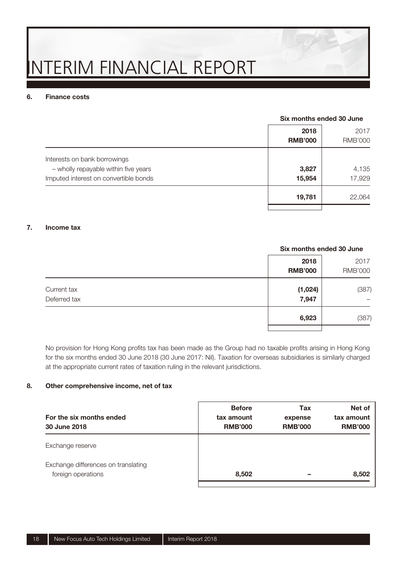#### **6. Finance costs**

#### **Six months ended 30 June**

|                                                                                                               | 2018<br><b>RMB'000</b> | 2017<br><b>RMB'000</b> |
|---------------------------------------------------------------------------------------------------------------|------------------------|------------------------|
| Interests on bank borrowings<br>- wholly repayable within five years<br>Imputed interest on convertible bonds | 3,827<br>15,954        | 4,135<br>17.929        |
|                                                                                                               | 19,781                 | 22,064                 |

#### **7. Income tax**

### **Six months ended 30 June 2018** 2017 **RMB'000** RMB'000 Current tax **(1,024)** (387) Deferred tax **7,947** – **6,923** (387)

No provision for Hong Kong profits tax has been made as the Group had no taxable profits arising in Hong Kong for the six months ended 30 June 2018 (30 June 2017: Nil). Taxation for overseas subsidiaries is similarly charged at the appropriate current rates of taxation ruling in the relevant jurisdictions.

#### **8. Other comprehensive income, net of tax**

| tax amount<br><b>RMB'000</b> | expense<br><b>RMB'000</b> | tax amount<br><b>RMB'000</b> |
|------------------------------|---------------------------|------------------------------|
|                              |                           |                              |
| 8.502                        |                           | 8,502                        |
|                              |                           |                              |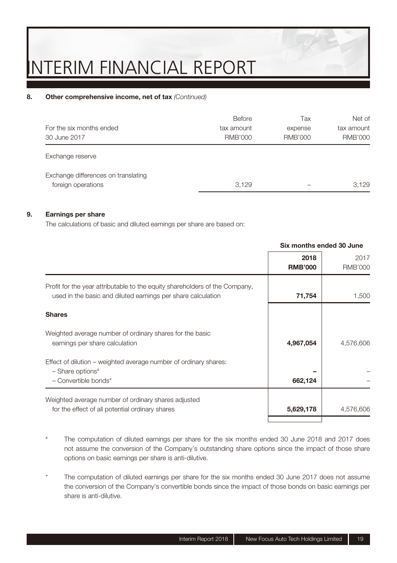#### 8. Other comprehensive income, net of tax (Continued)

| For the six months ended<br>30 June 2017                  | Before<br>tax amount<br><b>RMB'000</b> | Tax<br>expense<br>RMB'000 | Net of<br>tax amount<br><b>RMB'000</b> |
|-----------------------------------------------------------|----------------------------------------|---------------------------|----------------------------------------|
| Exchange reserve                                          |                                        |                           |                                        |
| Exchange differences on translating<br>foreign operations | 3.129                                  |                           | 3.129                                  |

#### **9. Earnings per share**

The calculations of basic and diluted earnings per share are based on:

|                                                                                                                                             | Six months ended 30 June |                        |
|---------------------------------------------------------------------------------------------------------------------------------------------|--------------------------|------------------------|
|                                                                                                                                             | 2018<br><b>RMB'000</b>   | 2017<br><b>RMB'000</b> |
| Profit for the year attributable to the equity shareholders of the Company,<br>used in the basic and diluted earnings per share calculation | 71,754                   | 1,500                  |
| <b>Shares</b>                                                                                                                               |                          |                        |
| Weighted average number of ordinary shares for the basic<br>earnings per share calculation                                                  | 4,967,054                | 4,576,606              |
| Effect of dilution – weighted average number of ordinary shares:<br>$-$ Share options <sup>#</sup><br>$-$ Convertible bonds*                | 662,124                  |                        |
| Weighted average number of ordinary shares adjusted<br>for the effect of all potential ordinary shares                                      | 5,629,178                | 4,576,606              |

- # The computation of diluted earnings per share for the six months ended 30 June 2018 and 2017 does not assume the conversion of the Company's outstanding share options since the impact of those share options on basic earnings per share is anti-dilutive.
- The computation of diluted earnings per share for the six months ended 30 June 2017 does not assume the conversion of the Company's convertible bonds since the impact of those bonds on basic earnings per share is anti-dilutive.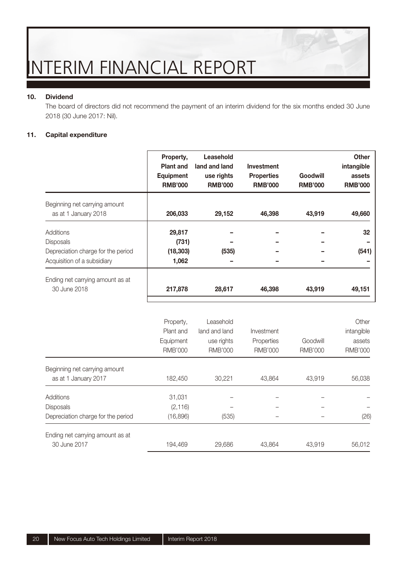#### **10. Dividend**

The board of directors did not recommend the payment of an interim dividend for the six months ended 30 June 2018 (30 June 2017: Nil).

#### **11. Capital expenditure**

|                                                                                             | Property,<br>Plant and<br>Equipment<br><b>RMB'000</b> | Leasehold<br>land and land<br>use rights<br><b>RMB'000</b> | Investment<br><b>Properties</b><br><b>RMB'000</b> | Goodwill<br><b>RMB'000</b> | Other<br>intangible<br>assets<br><b>RMB'000</b> |
|---------------------------------------------------------------------------------------------|-------------------------------------------------------|------------------------------------------------------------|---------------------------------------------------|----------------------------|-------------------------------------------------|
| Beginning net carrying amount<br>as at 1 January 2018                                       | 206,033                                               | 29,152                                                     | 46,398                                            | 43,919                     | 49,660                                          |
| Additions<br>Disposals<br>Depreciation charge for the period<br>Acquisition of a subsidiary | 29,817<br>(731)<br>(18, 303)<br>1,062                 | (535)                                                      |                                                   |                            | 32<br>(541)                                     |
| Ending net carrying amount as at<br>30 June 2018                                            | 217,878                                               | 28,617                                                     | 46,398                                            | 43,919                     | 49,151                                          |
|                                                                                             | Property,<br>Plant and<br>Equipment<br><b>RMB'000</b> | Leasehold<br>land and land<br>use rights<br><b>RMB'000</b> | Investment<br>Properties<br><b>RMB'000</b>        | Goodwill<br><b>RMB'000</b> | Other<br>intangible<br>assets<br><b>RMB'000</b> |
| Beginning net carrying amount<br>as at 1 January 2017                                       | 182,450                                               | 30,221                                                     | 43,864                                            | 43,919                     | 56,038                                          |
| Additions<br>Disposals<br>Depreciation charge for the period                                | 31,031<br>(2, 116)<br>(16,896)                        | (535)                                                      |                                                   |                            | (26)                                            |
| Ending net carrying amount as at<br>30 June 2017                                            | 194,469                                               | 29,686                                                     | 43,864                                            | 43,919                     | 56,012                                          |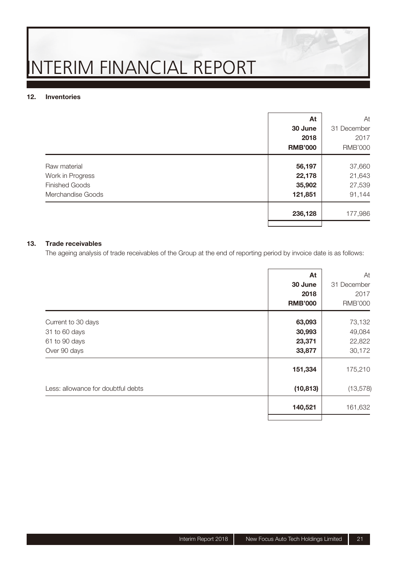#### **12. Inventories**

|                       |                | At<br>At       |
|-----------------------|----------------|----------------|
|                       | 30 June        | 31 December    |
|                       | 2018           | 2017           |
|                       | <b>RMB'000</b> | <b>RMB'000</b> |
| Raw material          | 56,197         | 37,660         |
| Work in Progress      | 22,178         | 21,643         |
| <b>Finished Goods</b> | 35,902         | 27,539         |
| Merchandise Goods     | 121,851        | 91,144         |
|                       | 236,128        | 177,986        |
|                       |                |                |

#### **13. Trade receivables**

The ageing analysis of trade receivables of the Group at the end of reporting period by invoice date is as follows:

|                                    | At             | At             |
|------------------------------------|----------------|----------------|
|                                    | 30 June        | 31 December    |
|                                    | 2018           | 2017           |
|                                    | <b>RMB'000</b> | <b>RMB'000</b> |
|                                    |                |                |
| Current to 30 days                 | 63,093         | 73,132         |
| 31 to 60 days                      | 30,993         | 49,084         |
| 61 to 90 days                      | 23,371         | 22,822         |
| Over 90 days                       | 33,877         | 30,172         |
|                                    | 151,334        | 175,210        |
| Less: allowance for doubtful debts | (10, 813)      | (13, 578)      |
|                                    | 140,521        | 161,632        |
|                                    |                |                |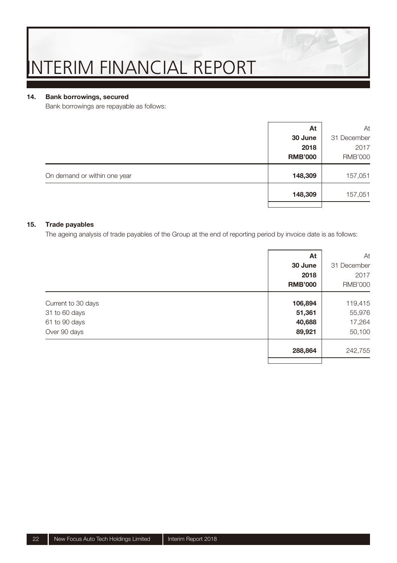#### **14. Bank borrowings, secured**

Bank borrowings are repayable as follows:

|                              |                | At   | At             |
|------------------------------|----------------|------|----------------|
|                              | 30 June        |      | 31 December    |
|                              |                | 2018 | 2017           |
|                              | <b>RMB'000</b> |      | <b>RMB'000</b> |
| On demand or within one year | 148,309        |      | 157,051        |
|                              | 148,309        |      | 157,051        |
|                              |                |      |                |

#### **15. Trade payables**

The ageing analysis of trade payables of the Group at the end of reporting period by invoice date is as follows:

|                    | At             | At             |
|--------------------|----------------|----------------|
|                    | 30 June        | 31 December    |
|                    | 2018           | 2017           |
|                    | <b>RMB'000</b> | <b>RMB'000</b> |
| Current to 30 days | 106,894        | 119,415        |
| 31 to 60 days      | 51,361         | 55,976         |
| 61 to 90 days      | 40,688         | 17,264         |
| Over 90 days       | 89,921         | 50,100         |
|                    | 288,864        | 242,755        |
|                    |                |                |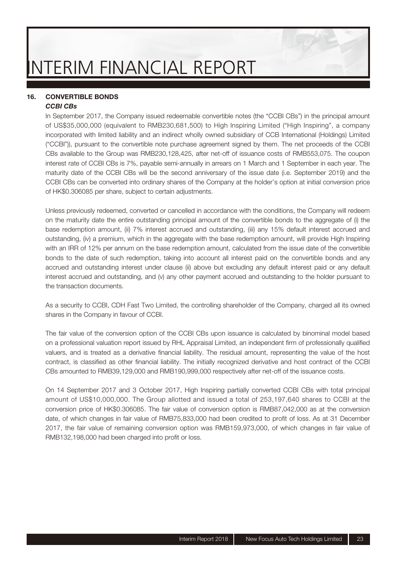#### **16. CONVERTIBLE BONDS** *CCBI CBs*

In September 2017, the Company issued redeemable convertible notes (the "CCBI CBs") in the principal amount of US\$35,000,000 (equivalent to RMB230,681,500) to High Inspiring Limited ("High Inspiring", a company incorporated with limited liability and an indirect wholly owned subsidiary of CCB International (Holdings) Limited ("CCBI")), pursuant to the convertible note purchase agreement signed by them. The net proceeds of the CCBI CBs available to the Group was RMB230,128,425, after net-off of issuance costs of RMB553,075. The coupon interest rate of CCBI CBs is 7%, payable semi-annually in arrears on 1 March and 1 September in each year. The maturity date of the CCBI CBs will be the second anniversary of the issue date (i.e. September 2019) and the CCBI CBs can be converted into ordinary shares of the Company at the holder's option at initial conversion price of HK\$0.306085 per share, subject to certain adjustments.

Unless previously redeemed, converted or cancelled in accordance with the conditions, the Company will redeem on the maturity date the entire outstanding principal amount of the convertible bonds to the aggregate of (i) the base redemption amount, (ii) 7% interest accrued and outstanding, (iii) any 15% default interest accrued and outstanding, (iv) a premium, which in the aggregate with the base redemption amount, will provide High Inspiring with an IRR of 12% per annum on the base redemption amount, calculated from the issue date of the convertible bonds to the date of such redemption, taking into account all interest paid on the convertible bonds and any accrued and outstanding interest under clause (ii) above but excluding any default interest paid or any default interest accrued and outstanding, and (v) any other payment accrued and outstanding to the holder pursuant to the transaction documents.

As a security to CCBI, CDH Fast Two Limited, the controlling shareholder of the Company, charged all its owned shares in the Company in favour of CCBI.

The fair value of the conversion option of the CCBI CBs upon issuance is calculated by binominal model based on a professional valuation report issued by RHL Appraisal Limited, an independent firm of professionally qualified valuers, and is treated as a derivative financial liability. The residual amount, representing the value of the host contract, is classified as other financial liability. The initially recognized derivative and host contract of the CCBI CBs amounted to RMB39,129,000 and RMB190,999,000 respectively after net-off of the issuance costs.

On 14 September 2017 and 3 October 2017, High Inspiring partially converted CCBI CBs with total principal amount of US\$10,000,000. The Group allotted and issued a total of 253,197,640 shares to CCBI at the conversion price of HK\$0.306085. The fair value of conversion option is RMB87,042,000 as at the conversion date, of which changes in fair value of RMB75,833,000 had been credited to profit of loss. As at 31 December 2017, the fair value of remaining conversion option was RMB159,973,000, of which changes in fair value of RMB132,198,000 had been charged into profit or loss.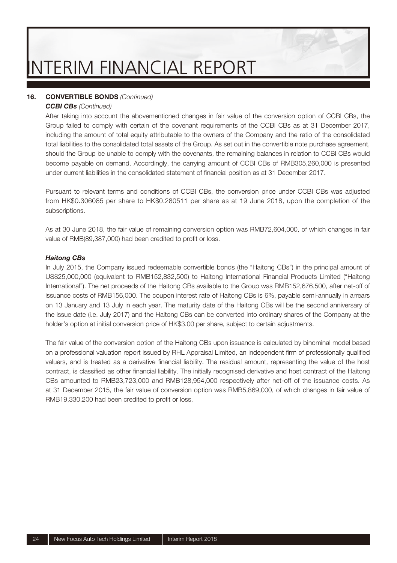#### **16. CONVERTIBLE BONDS** (Continued)

#### *CCBI CBs* (Continued)

After taking into account the abovementioned changes in fair value of the conversion option of CCBI CBs, the Group failed to comply with certain of the covenant requirements of the CCBI CBs as at 31 December 2017, including the amount of total equity attributable to the owners of the Company and the ratio of the consolidated total liabilities to the consolidated total assets of the Group. As set out in the convertible note purchase agreement, should the Group be unable to comply with the covenants, the remaining balances in relation to CCBI CBs would become payable on demand. Accordingly, the carrying amount of CCBI CBs of RMB305,260,000 is presented under current liabilities in the consolidated statement of financial position as at 31 December 2017.

Pursuant to relevant terms and conditions of CCBI CBs, the conversion price under CCBI CBs was adjusted from HK\$0.306085 per share to HK\$0.280511 per share as at 19 June 2018, upon the completion of the subscriptions.

As at 30 June 2018, the fair value of remaining conversion option was RMB72,604,000, of which changes in fair value of RMB(89,387,000) had been credited to profit or loss.

#### *Haitong CBs*

In July 2015, the Company issued redeemable convertible bonds (the "Haitong CBs") in the principal amount of US\$25,000,000 (equivalent to RMB152,832,500) to Haitong International Financial Products Limited ("Haitong International"). The net proceeds of the Haitong CBs available to the Group was RMB152,676,500, after net-off of issuance costs of RMB156,000. The coupon interest rate of Haitong CBs is 6%, payable semi-annually in arrears on 13 January and 13 July in each year. The maturity date of the Haitong CBs will be the second anniversary of the issue date (i.e. July 2017) and the Haitong CBs can be converted into ordinary shares of the Company at the holder's option at initial conversion price of HK\$3.00 per share, subject to certain adjustments.

The fair value of the conversion option of the Haitong CBs upon issuance is calculated by binominal model based on a professional valuation report issued by RHL Appraisal Limited, an independent firm of professionally qualified valuers, and is treated as a derivative financial liability. The residual amount, representing the value of the host contract, is classified as other financial liability. The initially recognised derivative and host contract of the Haitong CBs amounted to RMB23,723,000 and RMB128,954,000 respectively after net-off of the issuance costs. As at 31 December 2015, the fair value of conversion option was RMB5,869,000, of which changes in fair value of RMB19,330,200 had been credited to profit or loss.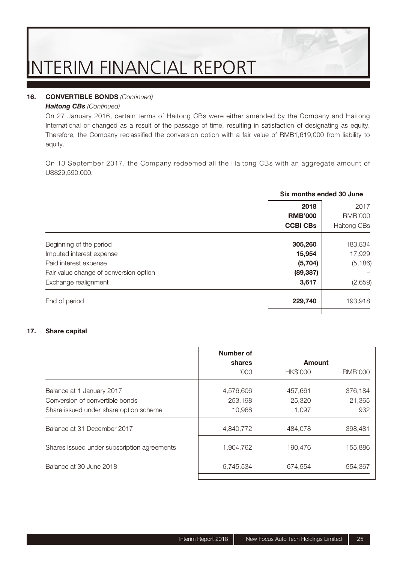#### **16. CONVERTIBLE BONDS** (Continued)

#### *Haitong CBs* (Continued)

On 27 January 2016, certain terms of Haitong CBs were either amended by the Company and Haitong International or changed as a result of the passage of time, resulting in satisfaction of designating as equity. Therefore, the Company reclassified the conversion option with a fair value of RMB1,619,000 from liability to equity.

On 13 September 2017, the Company redeemed all the Haitong CBs with an aggregate amount of US\$29,590,000.

|                                        | Six months ended 30 June |                |  |  |
|----------------------------------------|--------------------------|----------------|--|--|
|                                        | 2018                     | 2017           |  |  |
|                                        | <b>RMB'000</b>           | <b>RMB'000</b> |  |  |
|                                        | <b>CCBI CBs</b>          | Haitong CBs    |  |  |
| Beginning of the period                | 305,260                  | 183,834        |  |  |
| Imputed interest expense               | 15,954                   | 17,929         |  |  |
| Paid interest expense                  | (5,704)                  | (5, 186)       |  |  |
| Fair value change of conversion option | (89, 387)                |                |  |  |
| Exchange realignment                   | 3,617                    | (2,659)        |  |  |
| End of period                          | 229,740                  | 193,918        |  |  |
|                                        |                          |                |  |  |

#### **17. Share capital**

|                                             | Number of   |                 |                |
|---------------------------------------------|-------------|-----------------|----------------|
|                                             | shares      | Amount          |                |
|                                             | <b>'000</b> | <b>HK\$'000</b> | <b>RMB'000</b> |
| Balance at 1 January 2017                   | 4,576,606   | 457,661         | 376.184        |
| Conversion of convertible bonds             | 253.198     | 25,320          | 21,365         |
| Share issued under share option scheme      | 10.968      | 1.097           | 932            |
| Balance at 31 December 2017                 | 4,840,772   | 484,078         | 398,481        |
| Shares issued under subscription agreements | 1,904,762   | 190.476         | 155.886        |
| Balance at 30 June 2018                     | 6,745,534   | 674.554         | 554.367        |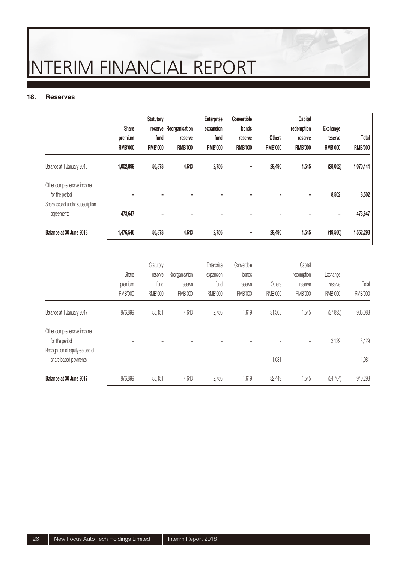#### **18. Reserves**

|                                               | Share<br>premium<br><b>RMB'000</b> | Statutory<br>fund<br><b>RMB'000</b> | reserve Reorganisation<br>reserve<br><b>RMB'000</b> | Enterprise<br>expansion<br>fund<br><b>RMB'000</b> | Convertible<br>bonds<br>reserve<br><b>RMB'000</b> | Others<br><b>RMB'000</b> | Capital<br>redemption<br>reserve<br><b>RMB'000</b> | Exchange<br>reserve<br><b>RMB'000</b> | Total<br><b>RMB'000</b> |
|-----------------------------------------------|------------------------------------|-------------------------------------|-----------------------------------------------------|---------------------------------------------------|---------------------------------------------------|--------------------------|----------------------------------------------------|---------------------------------------|-------------------------|
| Balance at 1 January 2018                     | 1,002,899                          | 56,873                              | 4,643                                               | 2,756                                             | ۰                                                 | 29,490                   | 1,545                                              | (28,062)                              | 1,070,144               |
| Other comprehensive income<br>for the period  |                                    |                                     |                                                     | ÷                                                 |                                                   |                          | $\overline{\phantom{0}}$                           | 8,502                                 | 8,502                   |
| Share issued under subscription<br>agreements | 473,647                            |                                     |                                                     | ۰                                                 |                                                   |                          |                                                    | $\blacksquare$                        | 473,647                 |
| Balance at 30 June 2018                       | 1,476,546                          | 56,873                              | 4,643                                               | 2,756                                             | ۰                                                 | 29,490                   | 1,545                                              | (19,560)                              | 1,552,293               |

|                                                          | Share<br>premium<br><b>RMB'000</b> | Statutory<br>reserve<br>fund<br><b>RMB'000</b> | Reorganisation<br>reserve<br><b>RMB'000</b> | Enterprise<br>expansion<br>fund<br>RMB'000 | Convertible<br>bonds<br>reserve<br><b>RMB'000</b> | Others<br><b>RMB'000</b> | Capital<br>redemption<br>reserve<br><b>RMB'000</b> | Exchange<br>reserve<br><b>RMB'000</b> | Total<br><b>RMB'000</b> |
|----------------------------------------------------------|------------------------------------|------------------------------------------------|---------------------------------------------|--------------------------------------------|---------------------------------------------------|--------------------------|----------------------------------------------------|---------------------------------------|-------------------------|
| Balance at 1 January 2017                                | 876,899                            | 55.151                                         | 4,643                                       | 2,756                                      | 1,619                                             | 31,368                   | 1,545                                              | (37, 893)                             | 936,088                 |
| Other comprehensive income<br>for the period             |                                    |                                                |                                             |                                            |                                                   |                          |                                                    | 3,129                                 | 3,129                   |
| Recognition of equity-settled of<br>share based payments |                                    |                                                |                                             |                                            | ۰                                                 | 1,081                    |                                                    | $\overline{\phantom{a}}$              | 1,081                   |
| Balance at 30 June 2017                                  | 876,899                            | 55.151                                         | 4,643                                       | 2,756                                      | 1,619                                             | 32.449                   | 1,545                                              | (34, 764)                             | 940,298                 |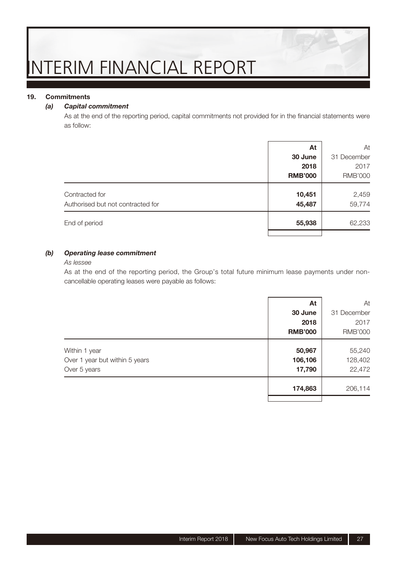#### **19. Commitments**

#### *(a) Capital commitment*

As at the end of the reporting period, capital commitments not provided for in the financial statements were as follow:

|                                                     | At               | At              |
|-----------------------------------------------------|------------------|-----------------|
|                                                     | 30 June          | 31 December     |
|                                                     | 2018             | 2017            |
|                                                     | <b>RMB'000</b>   | <b>RMB'000</b>  |
| Contracted for<br>Authorised but not contracted for | 10,451<br>45,487 | 2,459<br>59,774 |
| End of period                                       | 55,938           | 62,233          |
|                                                     |                  |                 |

#### *(b) Operating lease commitment*

#### As lessee

As at the end of the reporting period, the Group's total future minimum lease payments under noncancellable operating leases were payable as follows:

|                                | At             | At             |
|--------------------------------|----------------|----------------|
|                                | 30 June        | 31 December    |
|                                | 2018           | 2017           |
|                                | <b>RMB'000</b> | <b>RMB'000</b> |
| Within 1 year                  | 50,967         | 55,240         |
| Over 1 year but within 5 years | 106,106        | 128,402        |
| Over 5 years                   | 17,790         | 22,472         |
|                                | 174,863        | 206,114        |
|                                |                |                |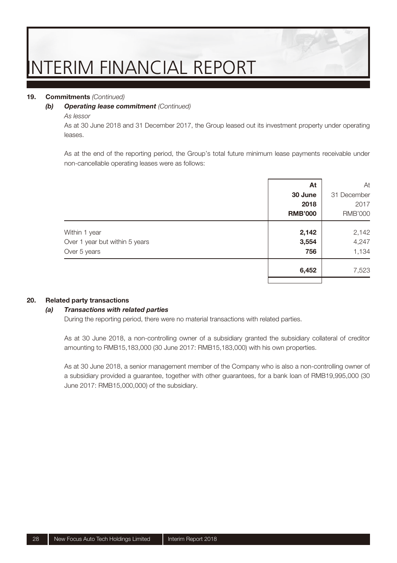#### **19. Commitments** (Continued)

#### *(b) Operating lease commitment* (Continued)

#### As lessor

As at 30 June 2018 and 31 December 2017, the Group leased out its investment property under operating leases.

As at the end of the reporting period, the Group's total future minimum lease payments receivable under non-cancellable operating leases were as follows:

|                                | At             | At             |
|--------------------------------|----------------|----------------|
|                                | 30 June        | 31 December    |
|                                | 2018           | 2017           |
|                                | <b>RMB'000</b> | <b>RMB'000</b> |
| Within 1 year                  | 2,142          | 2,142          |
| Over 1 year but within 5 years | 3,554          | 4,247          |
| Over 5 years                   | 756            | 1,134          |
|                                | 6,452          | 7,523          |
|                                |                |                |

#### **20. Related party transactions**

#### *(a) Transactions with related parties*

During the reporting period, there were no material transactions with related parties.

As at 30 June 2018, a non-controlling owner of a subsidiary granted the subsidiary collateral of creditor amounting to RMB15,183,000 (30 June 2017: RMB15,183,000) with his own properties.

As at 30 June 2018, a senior management member of the Company who is also a non-controlling owner of a subsidiary provided a guarantee, together with other guarantees, for a bank loan of RMB19,995,000 (30 June 2017: RMB15,000,000) of the subsidiary.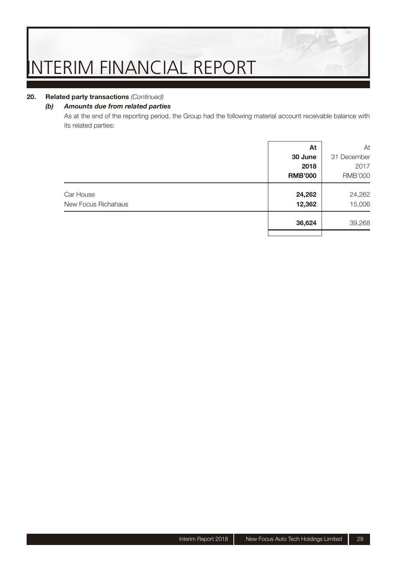#### **20. Related party transactions** (Continued)

#### *(b) Amounts due from related parties*

As at the end of the reporting period, the Group had the following material account receivable balance with its related parties:

|                     | At             | At             |
|---------------------|----------------|----------------|
|                     | 30 June        | 31 December    |
|                     | 2018           | 2017           |
|                     | <b>RMB'000</b> | <b>RMB'000</b> |
| Car House           | 24,262         | 24,262         |
| New Focus Richahaus | 12,362         | 15,006         |
|                     | 36,624         | 39,268         |
|                     |                |                |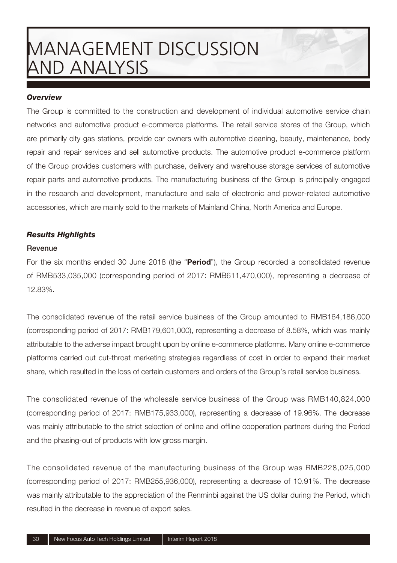#### *Overview*

The Group is committed to the construction and development of individual automotive service chain networks and automotive product e-commerce platforms. The retail service stores of the Group, which are primarily city gas stations, provide car owners with automotive cleaning, beauty, maintenance, body repair and repair services and sell automotive products. The automotive product e-commerce platform of the Group provides customers with purchase, delivery and warehouse storage services of automotive repair parts and automotive products. The manufacturing business of the Group is principally engaged in the research and development, manufacture and sale of electronic and power-related automotive accessories, which are mainly sold to the markets of Mainland China, North America and Europe.

#### *Results Highlights*

#### **Revenue**

For the six months ended 30 June 2018 (the "**Period**"), the Group recorded a consolidated revenue of RMB533,035,000 (corresponding period of 2017: RMB611,470,000), representing a decrease of 12.83%.

The consolidated revenue of the retail service business of the Group amounted to RMB164,186,000 (corresponding period of 2017: RMB179,601,000), representing a decrease of 8.58%, which was mainly attributable to the adverse impact brought upon by online e-commerce platforms. Many online e-commerce platforms carried out cut-throat marketing strategies regardless of cost in order to expand their market share, which resulted in the loss of certain customers and orders of the Group's retail service business.

The consolidated revenue of the wholesale service business of the Group was RMB140,824,000 (corresponding period of 2017: RMB175,933,000), representing a decrease of 19.96%. The decrease was mainly attributable to the strict selection of online and offline cooperation partners during the Period and the phasing-out of products with low gross margin.

The consolidated revenue of the manufacturing business of the Group was RMB228,025,000 (corresponding period of 2017: RMB255,936,000), representing a decrease of 10.91%. The decrease was mainly attributable to the appreciation of the Renminbi against the US dollar during the Period, which resulted in the decrease in revenue of export sales.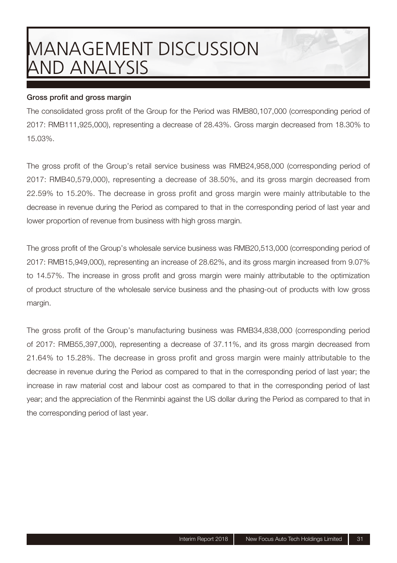#### **Gross profit and gross margin**

The consolidated gross profit of the Group for the Period was RMB80,107,000 (corresponding period of 2017: RMB111,925,000), representing a decrease of 28.43%. Gross margin decreased from 18.30% to 15.03%.

The gross profit of the Group's retail service business was RMB24,958,000 (corresponding period of 2017: RMB40,579,000), representing a decrease of 38.50%, and its gross margin decreased from 22.59% to 15.20%. The decrease in gross profit and gross margin were mainly attributable to the decrease in revenue during the Period as compared to that in the corresponding period of last year and lower proportion of revenue from business with high gross margin.

The gross profit of the Group's wholesale service business was RMB20,513,000 (corresponding period of 2017: RMB15,949,000), representing an increase of 28.62%, and its gross margin increased from 9.07% to 14.57%. The increase in gross profit and gross margin were mainly attributable to the optimization of product structure of the wholesale service business and the phasing-out of products with low gross margin.

The gross profit of the Group's manufacturing business was RMB34,838,000 (corresponding period of 2017: RMB55,397,000), representing a decrease of 37.11%, and its gross margin decreased from 21.64% to 15.28%. The decrease in gross profit and gross margin were mainly attributable to the decrease in revenue during the Period as compared to that in the corresponding period of last year; the increase in raw material cost and labour cost as compared to that in the corresponding period of last year; and the appreciation of the Renminbi against the US dollar during the Period as compared to that in the corresponding period of last year.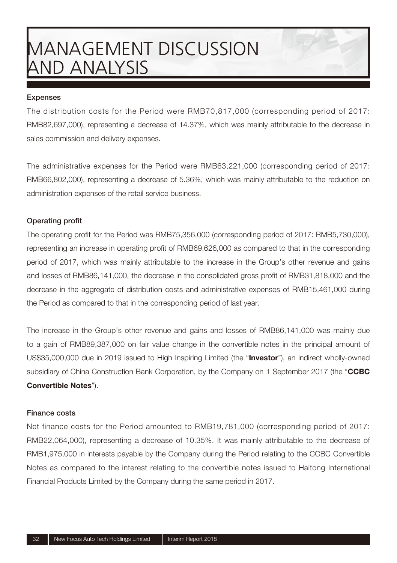#### **Expenses**

The distribution costs for the Period were RMB70,817,000 (corresponding period of 2017: RMB82,697,000), representing a decrease of 14.37%, which was mainly attributable to the decrease in sales commission and delivery expenses.

The administrative expenses for the Period were RMB63,221,000 (corresponding period of 2017: RMB66,802,000), representing a decrease of 5.36%, which was mainly attributable to the reduction on administration expenses of the retail service business.

#### **Operating profit**

The operating profit for the Period was RMB75,356,000 (corresponding period of 2017: RMB5,730,000), representing an increase in operating profit of RMB69,626,000 as compared to that in the corresponding period of 2017, which was mainly attributable to the increase in the Group's other revenue and gains and losses of RMB86,141,000, the decrease in the consolidated gross profit of RMB31,818,000 and the decrease in the aggregate of distribution costs and administrative expenses of RMB15,461,000 during the Period as compared to that in the corresponding period of last year.

The increase in the Group's other revenue and gains and losses of RMB86,141,000 was mainly due to a gain of RMB89,387,000 on fair value change in the convertible notes in the principal amount of US\$35,000,000 due in 2019 issued to High Inspiring Limited (the "**Investor**"), an indirect wholly-owned subsidiary of China Construction Bank Corporation, by the Company on 1 September 2017 (the "**CCBC Convertible Notes**").

#### **Finance costs**

Net finance costs for the Period amounted to RMB19,781,000 (corresponding period of 2017: RMB22,064,000), representing a decrease of 10.35%. It was mainly attributable to the decrease of RMB1,975,000 in interests payable by the Company during the Period relating to the CCBC Convertible Notes as compared to the interest relating to the convertible notes issued to Haitong International Financial Products Limited by the Company during the same period in 2017.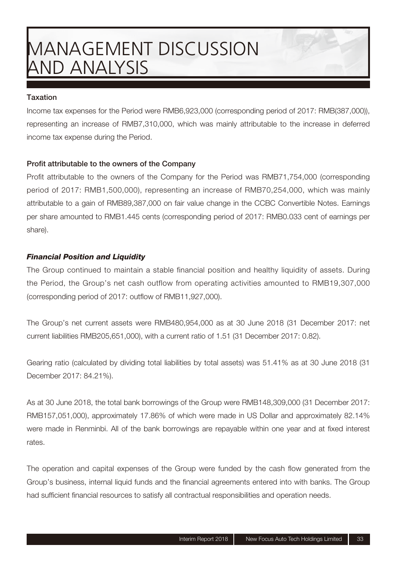#### **Taxation**

Income tax expenses for the Period were RMB6,923,000 (corresponding period of 2017: RMB(387,000)), representing an increase of RMB7,310,000, which was mainly attributable to the increase in deferred income tax expense during the Period.

#### Profit attributable to the owners of the Company

Profit attributable to the owners of the Company for the Period was RMB71,754,000 (corresponding period of 2017: RMB1,500,000), representing an increase of RMB70,254,000, which was mainly attributable to a gain of RMB89,387,000 on fair value change in the CCBC Convertible Notes. Earnings per share amounted to RMB1.445 cents (corresponding period of 2017: RMB0.033 cent of earnings per share).

#### *Financial Position and Liquidity*

The Group continued to maintain a stable financial position and healthy liquidity of assets. During the Period, the Group's net cash outflow from operating activities amounted to RMB19,307,000  $(corresponding period of 2017: outflow of RMB11,927,000).$ 

The Group's net current assets were RMB480,954,000 as at 30 June 2018 (31 December 2017: net current liabilities RMB205,651,000), with a current ratio of 1.51 (31 December 2017: 0.82).

Gearing ratio (calculated by dividing total liabilities by total assets) was 51.41% as at 30 June 2018 (31 December 2017: 84.21%).

As at 30 June 2018, the total bank borrowings of the Group were RMB148,309,000 (31 December 2017: RMB157,051,000), approximately 17.86% of which were made in US Dollar and approximately 82.14% were made in Renminbi. All of the bank borrowings are repayable within one year and at fixed interest rates

The operation and capital expenses of the Group were funded by the cash flow generated from the Group's business, internal liquid funds and the financial agreements entered into with banks. The Group had sufficient financial resources to satisfy all contractual responsibilities and operation needs.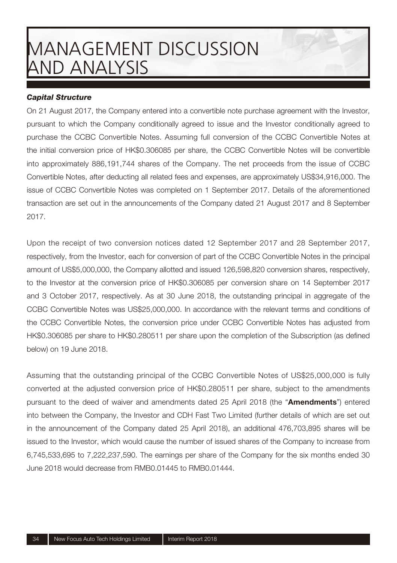#### *Capital Structure*

On 21 August 2017, the Company entered into a convertible note purchase agreement with the Investor, pursuant to which the Company conditionally agreed to issue and the Investor conditionally agreed to purchase the CCBC Convertible Notes. Assuming full conversion of the CCBC Convertible Notes at the initial conversion price of HK\$0.306085 per share, the CCBC Convertible Notes will be convertible into approximately 886,191,744 shares of the Company. The net proceeds from the issue of CCBC Convertible Notes, after deducting all related fees and expenses, are approximately US\$34,916,000. The issue of CCBC Convertible Notes was completed on 1 September 2017. Details of the aforementioned transaction are set out in the announcements of the Company dated 21 August 2017 and 8 September 2017.

Upon the receipt of two conversion notices dated 12 September 2017 and 28 September 2017, respectively, from the Investor, each for conversion of part of the CCBC Convertible Notes in the principal amount of US\$5,000,000, the Company allotted and issued 126,598,820 conversion shares, respectively, to the Investor at the conversion price of HK\$0.306085 per conversion share on 14 September 2017 and 3 October 2017, respectively. As at 30 June 2018, the outstanding principal in aggregate of the CCBC Convertible Notes was US\$25,000,000. In accordance with the relevant terms and conditions of the CCBC Convertible Notes, the conversion price under CCBC Convertible Notes has adjusted from HK\$0.306085 per share to HK\$0.280511 per share upon the completion of the Subscription (as defined below) on 19 June 2018.

Assuming that the outstanding principal of the CCBC Convertible Notes of US\$25,000,000 is fully converted at the adjusted conversion price of HK\$0.280511 per share, subject to the amendments pursuant to the deed of waiver and amendments dated 25 April 2018 (the "**Amendments**") entered into between the Company, the Investor and CDH Fast Two Limited (further details of which are set out in the announcement of the Company dated 25 April 2018), an additional 476,703,895 shares will be issued to the Investor, which would cause the number of issued shares of the Company to increase from 6,745,533,695 to 7,222,237,590. The earnings per share of the Company for the six months ended 30 June 2018 would decrease from RMB0.01445 to RMB0.01444.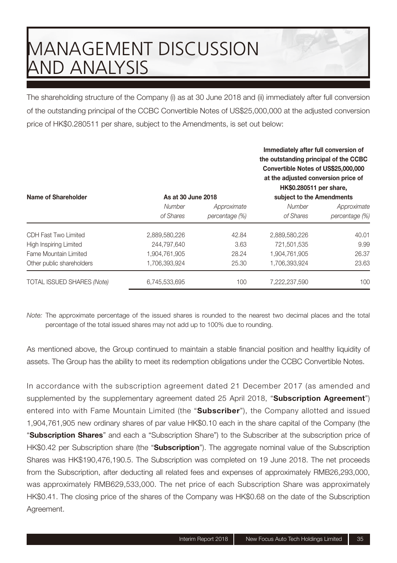The shareholding structure of the Company (i) as at 30 June 2018 and (ii) immediately after full conversion of the outstanding principal of the CCBC Convertible Notes of US\$25,000,000 at the adjusted conversion price of HK\$0.280511 per share, subject to the Amendments, is set out below:

| Name of Shareholder               | As at 30 June 2018  |                               | Immediately after full conversion of<br>the outstanding principal of the CCBC<br>Convertible Notes of US\$25,000,000<br>at the adjusted conversion price of<br>HK\$0.280511 per share,<br>subject to the Amendments |                               |  |
|-----------------------------------|---------------------|-------------------------------|---------------------------------------------------------------------------------------------------------------------------------------------------------------------------------------------------------------------|-------------------------------|--|
|                                   | Number<br>of Shares | Approximate<br>percentage (%) | Number<br>of Shares                                                                                                                                                                                                 | Approximate<br>percentage (%) |  |
| CDH Fast Two Limited              | 2,889,580,226       | 42.84                         | 2,889,580,226                                                                                                                                                                                                       | 40.01                         |  |
| High Inspiring Limited            | 244.797.640         | 3.63                          | 721.501.535                                                                                                                                                                                                         | 9.99                          |  |
| Fame Mountain Limited             | 1.904.761.905       | 28.24                         | 1.904.761.905                                                                                                                                                                                                       | 26.37                         |  |
| Other public shareholders         | 1.706.393.924       | 25.30                         | 1.706.393.924                                                                                                                                                                                                       | 23.63                         |  |
| <b>TOTAL ISSUED SHARES (Note)</b> | 6.745.533.695       | 100                           | 7.222.237.590                                                                                                                                                                                                       | 100                           |  |

Note: The approximate percentage of the issued shares is rounded to the nearest two decimal places and the total percentage of the total issued shares may not add up to 100% due to rounding.

As mentioned above, the Group continued to maintain a stable financial position and healthy liquidity of assets. The Group has the ability to meet its redemption obligations under the CCBC Convertible Notes.

In accordance with the subscription agreement dated 21 December 2017 (as amended and supplemented by the supplementary agreement dated 25 April 2018, "**Subscription Agreement**") entered into with Fame Mountain Limited (the "**Subscriber**"), the Company allotted and issued 1,904,761,905 new ordinary shares of par value HK\$0.10 each in the share capital of the Company (the "**Subscription Shares**" and each a "Subscription Share") to the Subscriber at the subscription price of HK\$0.42 per Subscription share (the "**Subscription**"). The aggregate nominal value of the Subscription Shares was HK\$190,476,190.5. The Subscription was completed on 19 June 2018. The net proceeds from the Subscription, after deducting all related fees and expenses of approximately RMB26,293,000, was approximately RMB629,533,000. The net price of each Subscription Share was approximately HK\$0.41. The closing price of the shares of the Company was HK\$0.68 on the date of the Subscription Agreement.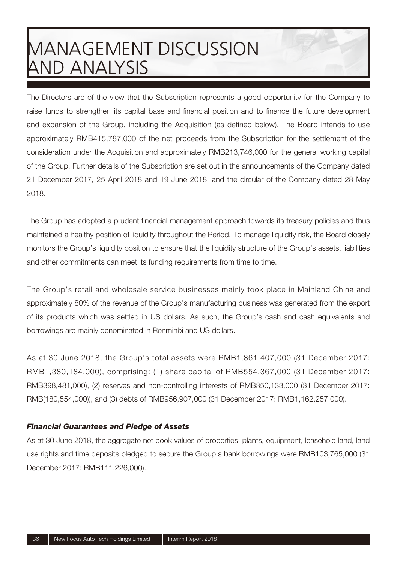The Directors are of the view that the Subscription represents a good opportunity for the Company to raise funds to strengthen its capital base and financial position and to finance the future development and expansion of the Group, including the Acquisition (as defined below). The Board intends to use approximately RMB415,787,000 of the net proceeds from the Subscription for the settlement of the consideration under the Acquisition and approximately RMB213,746,000 for the general working capital of the Group. Further details of the Subscription are set out in the announcements of the Company dated 21 December 2017, 25 April 2018 and 19 June 2018, and the circular of the Company dated 28 May 2018.

The Group has adopted a prudent financial management approach towards its treasury policies and thus maintained a healthy position of liquidity throughout the Period. To manage liquidity risk, the Board closely monitors the Group's liquidity position to ensure that the liquidity structure of the Group's assets, liabilities and other commitments can meet its funding requirements from time to time.

The Group's retail and wholesale service businesses mainly took place in Mainland China and approximately 80% of the revenue of the Group's manufacturing business was generated from the export of its products which was settled in US dollars. As such, the Group's cash and cash equivalents and borrowings are mainly denominated in Renminbi and US dollars.

As at 30 June 2018, the Group's total assets were RMB1,861,407,000 (31 December 2017: RMB1,380,184,000), comprising: (1) share capital of RMB554,367,000 (31 December 2017: RMB398,481,000), (2) reserves and non-controlling interests of RMB350,133,000 (31 December 2017: RMB(180,554,000)), and (3) debts of RMB956,907,000 (31 December 2017: RMB1,162,257,000).

#### *Financial Guarantees and Pledge of Assets*

As at 30 June 2018, the aggregate net book values of properties, plants, equipment, leasehold land, land use rights and time deposits pledged to secure the Group's bank borrowings were RMB103,765,000 (31 December 2017: RMB111,226,000).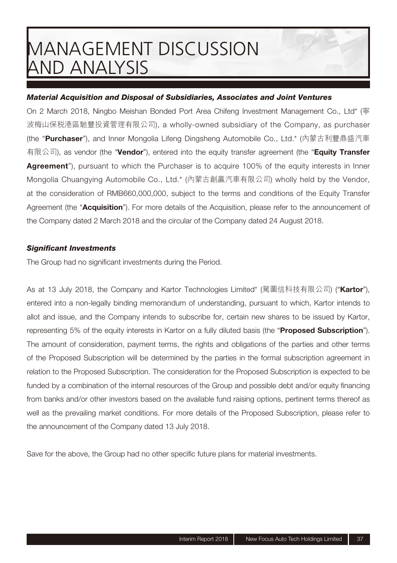#### *Material Acquisition and Disposal of Subsidiaries, Associates and Joint Ventures*

On 2 March 2018, Ningbo Meishan Bonded Port Area Chifeng Investment Management Co., Ltd\* (寧 波梅山保稅港區馳豐投資管理有限公司), a wholly-owned subsidiary of the Company, as purchaser (the "**Purchaser**"), and Inner Mongolia Lifeng Dingsheng Automobile Co., Ltd.\* (內蒙古利豐鼎盛汽車 有限公司), as vendor (the "**Vendor**"), entered into the equity transfer agreement (the "**Equity Transfer**  Agreement<sup>"</sup>), pursuant to which the Purchaser is to acquire 100% of the equity interests in Inner Mongolia Chuangying Automobile Co., Ltd.\* (內蒙古創贏汽車有限公司) wholly held by the Vendor, at the consideration of RMB660,000,000, subject to the terms and conditions of the Equity Transfer Agreement (the "**Acquisition**"). For more details of the Acquisition, please refer to the announcement of the Company dated 2 March 2018 and the circular of the Company dated 24 August 2018.

#### **Significant Investments**

The Group had no significant investments during the Period.

As at 13 July 2018, the Company and Kartor Technologies Limited\* (駕圖信科技有限公司) ("**Kartor**"), entered into a non-legally binding memorandum of understanding, pursuant to which, Kartor intends to allot and issue, and the Company intends to subscribe for, certain new shares to be issued by Kartor, representing 5% of the equity interests in Kartor on a fully diluted basis (the "**Proposed Subscription**"). The amount of consideration, payment terms, the rights and obligations of the parties and other terms of the Proposed Subscription will be determined by the parties in the formal subscription agreement in relation to the Proposed Subscription. The consideration for the Proposed Subscription is expected to be funded by a combination of the internal resources of the Group and possible debt and/or equity financing from banks and/or other investors based on the available fund raising options, pertinent terms thereof as well as the prevailing market conditions. For more details of the Proposed Subscription, please refer to the announcement of the Company dated 13 July 2018.

Save for the above, the Group had no other specific future plans for material investments.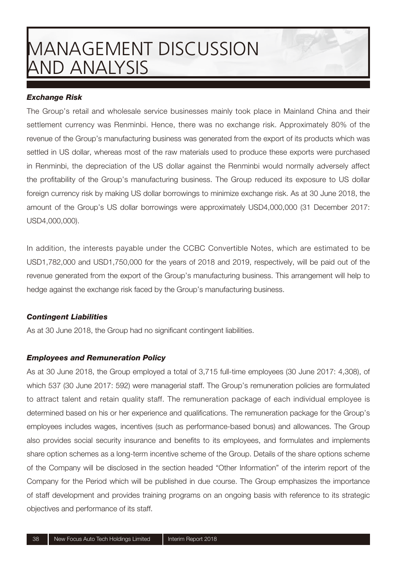#### *Exchange Risk*

The Group's retail and wholesale service businesses mainly took place in Mainland China and their settlement currency was Renminbi. Hence, there was no exchange risk. Approximately 80% of the revenue of the Group's manufacturing business was generated from the export of its products which was settled in US dollar, whereas most of the raw materials used to produce these exports were purchased in Renminbi, the depreciation of the US dollar against the Renminbi would normally adversely affect the profitability of the Group's manufacturing business. The Group reduced its exposure to US dollar foreign currency risk by making US dollar borrowings to minimize exchange risk. As at 30 June 2018, the amount of the Group's US dollar borrowings were approximately USD4,000,000 (31 December 2017: USD4,000,000).

In addition, the interests payable under the CCBC Convertible Notes, which are estimated to be USD1,782,000 and USD1,750,000 for the years of 2018 and 2019, respectively, will be paid out of the revenue generated from the export of the Group's manufacturing business. This arrangement will help to hedge against the exchange risk faced by the Group's manufacturing business.

#### *Contingent Liabilities*

As at 30 June 2018, the Group had no significant contingent liabilities.

#### *Employees and Remuneration Policy*

As at 30 June 2018, the Group employed a total of 3,715 full-time employees (30 June 2017: 4,308), of which 537 (30 June 2017: 592) were managerial staff. The Group's remuneration policies are formulated to attract talent and retain quality staff. The remuneration package of each individual employee is determined based on his or her experience and qualifications. The remuneration package for the Group's employees includes wages, incentives (such as performance-based bonus) and allowances. The Group also provides social security insurance and benefits to its employees, and formulates and implements share option schemes as a long-term incentive scheme of the Group. Details of the share options scheme of the Company will be disclosed in the section headed "Other Information" of the interim report of the Company for the Period which will be published in due course. The Group emphasizes the importance of staff development and provides training programs on an ongoing basis with reference to its strategic objectives and performance of its staff.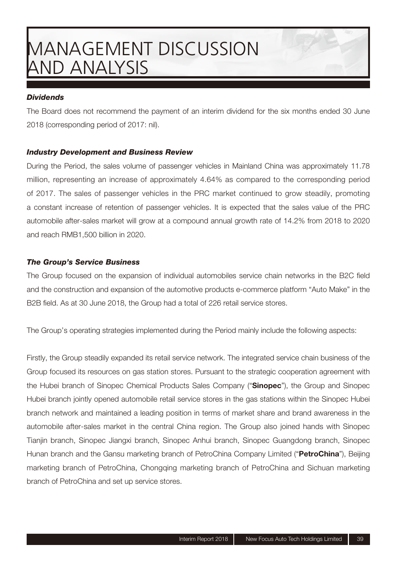#### *Dividends*

The Board does not recommend the payment of an interim dividend for the six months ended 30 June 2018 (corresponding period of 2017: nil).

#### *Industry Development and Business Review*

During the Period, the sales volume of passenger vehicles in Mainland China was approximately 11.78 million, representing an increase of approximately 4.64% as compared to the corresponding period of 2017. The sales of passenger vehicles in the PRC market continued to grow steadily, promoting a constant increase of retention of passenger vehicles. It is expected that the sales value of the PRC automobile after-sales market will grow at a compound annual growth rate of 14.2% from 2018 to 2020 and reach RMB1,500 billion in 2020.

#### *The Group's Service Business*

The Group focused on the expansion of individual automobiles service chain networks in the B2C field and the construction and expansion of the automotive products e-commerce platform "Auto Make" in the B2B field. As at 30 June 2018, the Group had a total of 226 retail service stores.

The Group's operating strategies implemented during the Period mainly include the following aspects:

Firstly, the Group steadily expanded its retail service network. The integrated service chain business of the Group focused its resources on gas station stores. Pursuant to the strategic cooperation agreement with the Hubei branch of Sinopec Chemical Products Sales Company ("**Sinopec**"), the Group and Sinopec Hubei branch jointly opened automobile retail service stores in the gas stations within the Sinopec Hubei branch network and maintained a leading position in terms of market share and brand awareness in the automobile after-sales market in the central China region. The Group also joined hands with Sinopec Tianjin branch, Sinopec Jiangxi branch, Sinopec Anhui branch, Sinopec Guangdong branch, Sinopec Hunan branch and the Gansu marketing branch of PetroChina Company Limited ("**PetroChina**"), Beijing marketing branch of PetroChina, Chongqing marketing branch of PetroChina and Sichuan marketing branch of PetroChina and set up service stores.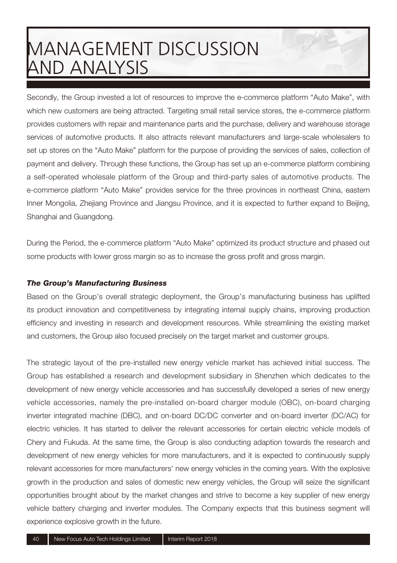Secondly, the Group invested a lot of resources to improve the e-commerce platform "Auto Make", with which new customers are being attracted. Targeting small retail service stores, the e-commerce platform provides customers with repair and maintenance parts and the purchase, delivery and warehouse storage services of automotive products. It also attracts relevant manufacturers and large-scale wholesalers to set up stores on the "Auto Make" platform for the purpose of providing the services of sales, collection of payment and delivery. Through these functions, the Group has set up an e-commerce platform combining a self-operated wholesale platform of the Group and third-party sales of automotive products. The e-commerce platform "Auto Make" provides service for the three provinces in northeast China, eastern Inner Mongolia, Zhejiang Province and Jiangsu Province, and it is expected to further expand to Beijing, Shanghai and Guangdong.

During the Period, the e-commerce platform "Auto Make" optimized its product structure and phased out some products with lower gross margin so as to increase the gross profit and gross margin.

#### *The Group's Manufacturing Business*

Based on the Group's overall strategic deployment, the Group's manufacturing business has uplifted its product innovation and competitiveness by integrating internal supply chains, improving production efficiency and investing in research and development resources. While streamlining the existing market and customers, the Group also focused precisely on the target market and customer groups.

The strategic layout of the pre-installed new energy vehicle market has achieved initial success. The Group has established a research and development subsidiary in Shenzhen which dedicates to the development of new energy vehicle accessories and has successfully developed a series of new energy vehicle accessories, namely the pre-installed on-board charger module (OBC), on-board charging inverter integrated machine (DBC), and on-board DC/DC converter and on-board inverter (DC/AC) for electric vehicles. It has started to deliver the relevant accessories for certain electric vehicle models of Chery and Fukuda. At the same time, the Group is also conducting adaption towards the research and development of new energy vehicles for more manufacturers, and it is expected to continuously supply relevant accessories for more manufacturers' new energy vehicles in the coming years. With the explosive growth in the production and sales of domestic new energy vehicles, the Group will seize the significant opportunities brought about by the market changes and strive to become a key supplier of new energy vehicle battery charging and inverter modules. The Company expects that this business segment will experience explosive growth in the future.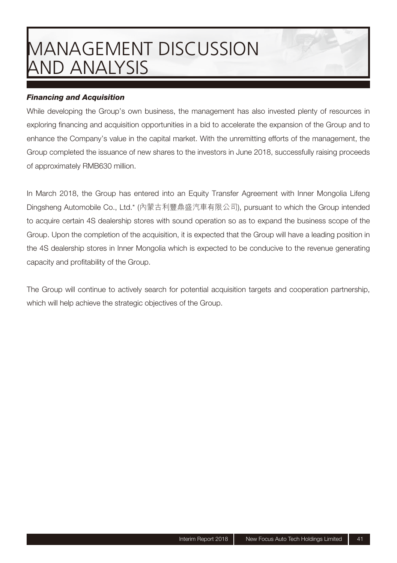#### *Financing and Acquisition*

While developing the Group's own business, the management has also invested plenty of resources in exploring financing and acquisition opportunities in a bid to accelerate the expansion of the Group and to enhance the Company's value in the capital market. With the unremitting efforts of the management, the Group completed the issuance of new shares to the investors in June 2018, successfully raising proceeds of approximately RMB630 million.

In March 2018, the Group has entered into an Equity Transfer Agreement with Inner Mongolia Lifeng Dingsheng Automobile Co., Ltd.\* (內蒙古利豐鼎盛汽車有限公司), pursuant to which the Group intended to acquire certain 4S dealership stores with sound operation so as to expand the business scope of the Group. Upon the completion of the acquisition, it is expected that the Group will have a leading position in the 4S dealership stores in Inner Mongolia which is expected to be conducive to the revenue generating capacity and profitability of the Group.

The Group will continue to actively search for potential acquisition targets and cooperation partnership, which will help achieve the strategic objectives of the Group.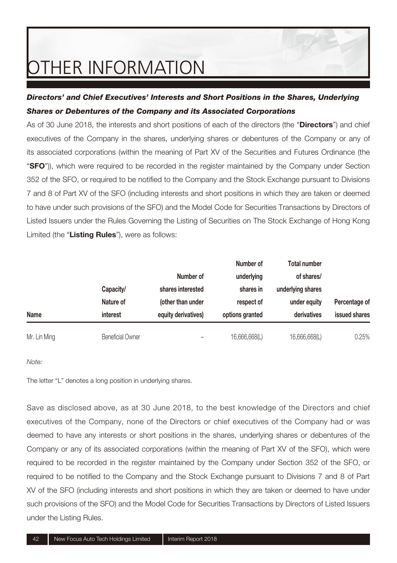#### *Directors' and Chief Executives' Interests and Short Positions in the Shares, Underlying Shares or Debentures of the Company and its Associated Corporations*

As of 30 June 2018, the interests and short positions of each of the directors (the "**Directors**") and chief executives of the Company in the shares, underlying shares or debentures of the Company or any of its associated corporations (within the meaning of Part XV of the Securities and Futures Ordinance (the "**SFO**")), which were required to be recorded in the register maintained by the Company under Section 352 of the SFO, or required to be notified to the Company and the Stock Exchange pursuant to Divisions 7 and 8 of Part XV of the SFO (including interests and short positions in which they are taken or deemed to have under such provisions of the SFO) and the Model Code for Securities Transactions by Directors of Listed Issuers under the Rules Governing the Listing of Securities on The Stock Exchange of Hong Kong Limited (the "**Listing Rules**"), were as follows:

|              |                         |                     | Number of       | <b>Total number</b> |               |
|--------------|-------------------------|---------------------|-----------------|---------------------|---------------|
|              |                         | Number of           | underlying      | of shares/          |               |
|              | Capacity/               | shares interested   | shares in       | underlying shares   |               |
|              | Nature of               | (other than under   | respect of      | under equity        | Percentage of |
| Name         | interest                | equity derivatives) | options granted | derivatives         | issued shares |
| Mr. Lin Ming | <b>Beneficial Owner</b> |                     | 16,666,668(L)   | 16,666,668(L)       | 0.25%         |

#### Note:

The letter "L" denotes a long position in underlying shares.

Save as disclosed above, as at 30 June 2018, to the best knowledge of the Directors and chief executives of the Company, none of the Directors or chief executives of the Company had or was deemed to have any interests or short positions in the shares, underlying shares or debentures of the Company or any of its associated corporations (within the meaning of Part XV of the SFO), which were required to be recorded in the register maintained by the Company under Section 352 of the SFO, or required to be notified to the Company and the Stock Exchange pursuant to Divisions 7 and 8 of Part XV of the SFO (including interests and short positions in which they are taken or deemed to have under such provisions of the SFO) and the Model Code for Securities Transactions by Directors of Listed Issuers under the Listing Rules.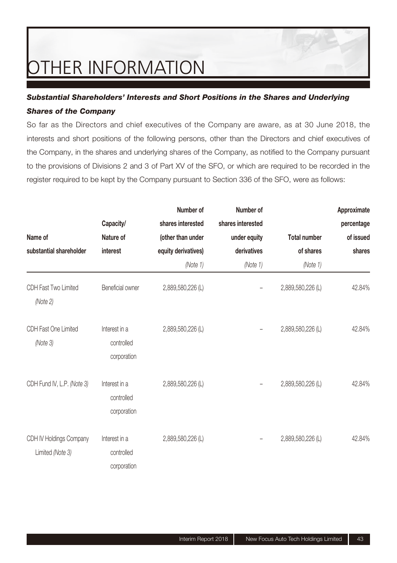#### *Substantial Shareholders' Interests and Short Positions in the Shares and Underlying Shares of the Company*

So far as the Directors and chief executives of the Company are aware, as at 30 June 2018, the interests and short positions of the following persons, other than the Directors and chief executives of the Company, in the shares and underlying shares of the Company, as notified to the Company pursuant to the provisions of Divisions 2 and 3 of Part XV of the SFO, or which are required to be recorded in the register required to be kept by the Company pursuant to Section 336 of the SFO, were as follows:

|                                             |                                            | Number of           | Number of         |                     | Approximate |
|---------------------------------------------|--------------------------------------------|---------------------|-------------------|---------------------|-------------|
|                                             | Capacity/                                  | shares interested   | shares interested |                     | percentage  |
| Name of                                     | Nature of                                  | (other than under   | under equity      | <b>Total number</b> | of issued   |
| substantial shareholder                     | interest                                   | equity derivatives) | derivatives       | of shares           | shares      |
|                                             |                                            | (Note 1)            | (Note 1)          | (Note 1)            |             |
| CDH Fast Two Limited<br>(Note 2)            | Beneficial owner                           | 2,889,580,226 (L)   |                   | 2,889,580,226 (L)   | 42.84%      |
| CDH Fast One Limited<br>(Note 3)            | Interest in a<br>controlled<br>corporation | 2,889,580,226 (L)   |                   | 2,889,580,226 (L)   | 42.84%      |
| CDH Fund IV, L.P. (Note 3)                  | Interest in a<br>controlled<br>corporation | 2,889,580,226 (L)   |                   | 2,889,580,226 (L)   | 42.84%      |
| CDH IV Holdings Company<br>Limited (Note 3) | Interest in a<br>controlled<br>corporation | 2,889,580,226 (L)   |                   | 2,889,580,226 (L)   | 42.84%      |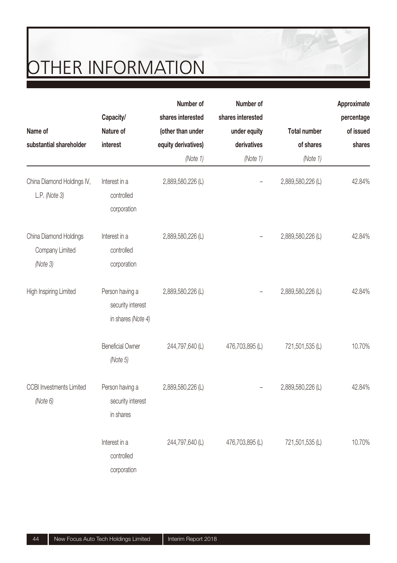|                                             |                                                            | Number of           | Number of         |                     | Approximate |
|---------------------------------------------|------------------------------------------------------------|---------------------|-------------------|---------------------|-------------|
|                                             | Capacity/                                                  | shares interested   | shares interested |                     | percentage  |
| Name of                                     | Nature of                                                  | (other than under   | under equity      | <b>Total number</b> | of issued   |
| substantial shareholder                     | interest                                                   | equity derivatives) | derivatives       | of shares           | shares      |
|                                             |                                                            | (Note 1)            | (Note 1)          | (Note 1)            |             |
| China Diamond Holdings IV,<br>L.P. (Note 3) | Interest in a<br>controlled                                | 2,889,580,226 (L)   |                   | 2,889,580,226 (L)   | 42.84%      |
|                                             | corporation                                                |                     |                   |                     |             |
| China Diamond Holdings<br>Company Limited   | Interest in a<br>controlled                                | 2,889,580,226 (L)   |                   | 2,889,580,226 (L)   | 42.84%      |
| (Note 3)                                    | corporation                                                |                     |                   |                     |             |
| High Inspiring Limited                      | Person having a<br>security interest<br>in shares (Note 4) | 2,889,580,226 (L)   |                   | 2,889,580,226 (L)   | 42.84%      |
|                                             | <b>Beneficial Owner</b><br>(Note 5)                        | 244,797,640 (L)     | 476,703,895 (L)   | 721,501,535 (L)     | 10.70%      |
| <b>CCBI</b> Investments Limited<br>(Note 6) | Person having a<br>security interest<br>in shares          | 2,889,580,226 (L)   |                   | 2,889,580,226 (L)   | 42.84%      |
|                                             | Interest in a<br>controlled<br>corporation                 | 244,797,640 (L)     | 476,703,895 (L)   | 721,501,535 (L)     | 10.70%      |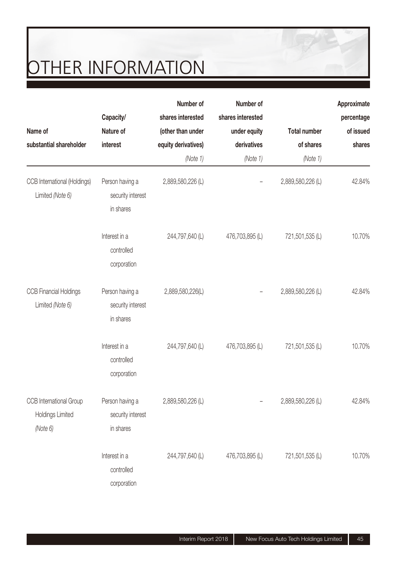|                                                                |                                                   | Number of           | Number of         |                     | Approximate             |
|----------------------------------------------------------------|---------------------------------------------------|---------------------|-------------------|---------------------|-------------------------|
|                                                                | Capacity/<br>Nature of                            | shares interested   | shares interested |                     | percentage<br>of issued |
| Name of                                                        |                                                   | (other than under   | under equity      | <b>Total number</b> |                         |
| substantial shareholder                                        | interest                                          | equity derivatives) | derivatives       | of shares           | shares                  |
|                                                                |                                                   | (Note 1)            | (Note 1)          | (Note 1)            |                         |
| CCB International (Holdings)<br>Limited (Note 6)               | Person having a<br>security interest<br>in shares | 2,889,580,226 (L)   |                   | 2,889,580,226 (L)   | 42.84%                  |
|                                                                | Interest in a<br>controlled<br>corporation        | 244,797,640 (L)     | 476,703,895 (L)   | 721,501,535 (L)     | 10.70%                  |
| <b>CCB Financial Holdings</b><br>Limited (Note 6)              | Person having a<br>security interest<br>in shares | 2,889,580,226(L)    |                   | 2,889,580,226 (L)   | 42.84%                  |
|                                                                | Interest in a<br>controlled<br>corporation        | 244,797,640 (L)     | 476,703,895 (L)   | 721,501,535 (L)     | 10.70%                  |
| CCB International Group<br><b>Holdings Limited</b><br>(Note 6) | Person having a<br>security interest<br>in shares | 2,889,580,226 (L)   |                   | 2,889,580,226 (L)   | 42.84%                  |
|                                                                | Interest in a<br>controlled<br>corporation        | 244,797,640 (L)     | 476,703,895 (L)   | 721,501,535 (L)     | 10.70%                  |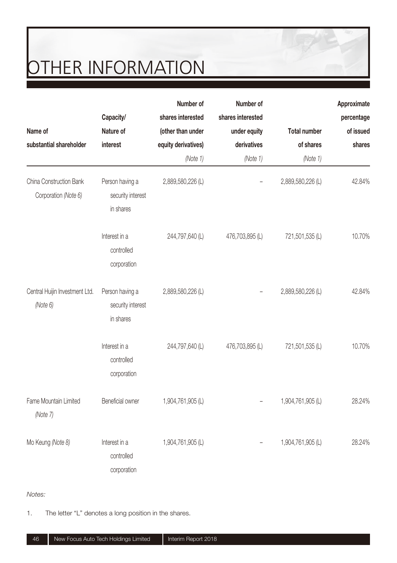|                                                 |                                                   | Number of           | Number of         |                     | Approximate |
|-------------------------------------------------|---------------------------------------------------|---------------------|-------------------|---------------------|-------------|
|                                                 | Capacity/                                         | shares interested   | shares interested |                     | percentage  |
| Name of                                         | Nature of                                         | (other than under   | under equity      | <b>Total number</b> | of issued   |
| substantial shareholder                         | interest                                          | equity derivatives) | derivatives       | of shares           | shares      |
|                                                 |                                                   | (Note 1)            | (Note 1)          | (Note 1)            |             |
| China Construction Bank<br>Corporation (Note 6) | Person having a<br>security interest<br>in shares | 2,889,580,226 (L)   |                   | 2,889,580,226 (L)   | 42.84%      |
|                                                 | Interest in a<br>controlled<br>corporation        | 244,797,640 (L)     | 476,703,895 (L)   | 721,501,535 (L)     | 10.70%      |
| Central Huijin Investment Ltd.<br>(Note 6)      | Person having a<br>security interest<br>in shares | 2,889,580,226 (L)   |                   | 2,889,580,226 (L)   | 42.84%      |
|                                                 | Interest in a<br>controlled<br>corporation        | 244,797,640 (L)     | 476,703,895 (L)   | 721,501,535 (L)     | 10.70%      |
| Fame Mountain Limited<br>(Note 7)               | Beneficial owner                                  | 1,904,761,905 (L)   |                   | 1,904,761,905 (L)   | 28.24%      |
| Mo Keung (Note 8)                               | Interest in a<br>controlled<br>corporation        | 1,904,761,905 (L)   |                   | 1,904,761,905 (L)   | 28.24%      |

Notes:

1. The letter "L" denotes a long position in the shares.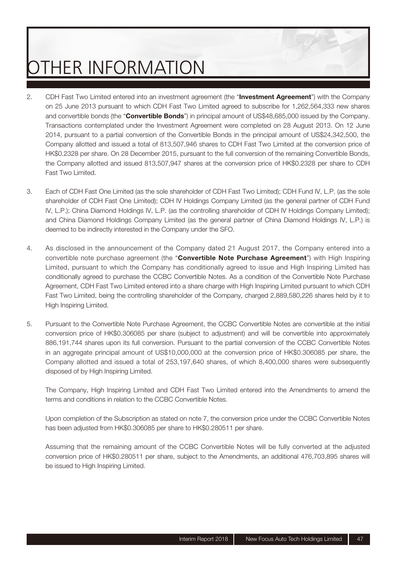- 2. CDH Fast Two Limited entered into an investment agreement (the "**Investment Agreement**") with the Company on 25 June 2013 pursuant to which CDH Fast Two Limited agreed to subscribe for 1,262,564,333 new shares and convertible bonds (the "**Convertible Bonds**") in principal amount of US\$48,685,000 issued by the Company. Transactions contemplated under the Investment Agreement were completed on 28 August 2013. On 12 June 2014, pursuant to a partial conversion of the Convertible Bonds in the principal amount of US\$24,342,500, the Company allotted and issued a total of 813,507,946 shares to CDH Fast Two Limited at the conversion price of HK\$0.2328 per share. On 28 December 2015, pursuant to the full conversion of the remaining Convertible Bonds, the Company allotted and issued 813,507,947 shares at the conversion price of HK\$0.2328 per share to CDH Fast Two Limited.
- 3. Each of CDH Fast One Limited (as the sole shareholder of CDH Fast Two Limited); CDH Fund IV, L.P. (as the sole shareholder of CDH Fast One Limited); CDH IV Holdings Company Limited (as the general partner of CDH Fund IV, L.P.); China Diamond Holdings IV, L.P. (as the controlling shareholder of CDH IV Holdings Company Limited); and China Diamond Holdings Company Limited (as the general partner of China Diamond Holdings IV, L.P.) is deemed to be indirectly interested in the Company under the SFO.
- 4. As disclosed in the announcement of the Company dated 21 August 2017, the Company entered into a convertible note purchase agreement (the "**Convertible Note Purchase Agreement**") with High Inspiring Limited, pursuant to which the Company has conditionally agreed to issue and High Inspiring Limited has conditionally agreed to purchase the CCBC Convertible Notes. As a condition of the Convertible Note Purchase Agreement, CDH Fast Two Limited entered into a share charge with High Inspiring Limited pursuant to which CDH Fast Two Limited, being the controlling shareholder of the Company, charged 2,889,580,226 shares held by it to High Inspiring Limited.
- 5. Pursuant to the Convertible Note Purchase Agreement, the CCBC Convertible Notes are convertible at the initial conversion price of HK\$0.306085 per share (subject to adjustment) and will be convertible into approximately 886,191,744 shares upon its full conversion. Pursuant to the partial conversion of the CCBC Convertible Notes in an aggregate principal amount of US\$10,000,000 at the conversion price of HK\$0.306085 per share, the Company allotted and issued a total of 253,197,640 shares, of which 8,400,000 shares were subsequently disposed of by High Inspiring Limited.

The Company, High Inspiring Limited and CDH Fast Two Limited entered into the Amendments to amend the terms and conditions in relation to the CCBC Convertible Notes.

Upon completion of the Subscription as stated on note 7, the conversion price under the CCBC Convertible Notes has been adjusted from HK\$0.306085 per share to HK\$0.280511 per share.

Assuming that the remaining amount of the CCBC Convertible Notes will be fully converted at the adjusted conversion price of HK\$0.280511 per share, subject to the Amendments, an additional 476,703,895 shares will be issued to High Inspiring Limited.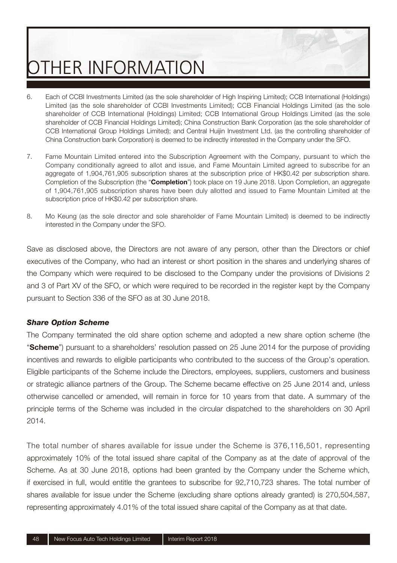- 6. Each of CCBI Investments Limited (as the sole shareholder of High Inspiring Limited); CCB International (Holdings) Limited (as the sole shareholder of CCBI Investments Limited); CCB Financial Holdings Limited (as the sole shareholder of CCB International (Holdings) Limited; CCB International Group Holdings Limited (as the sole shareholder of CCB Financial Holdings Limited); China Construction Bank Corporation (as the sole shareholder of CCB International Group Holdings Limited); and Central Huijin Investment Ltd. (as the controlling shareholder of China Construction bank Corporation) is deemed to be indirectly interested in the Company under the SFO.
- 7. Fame Mountain Limited entered into the Subscription Agreement with the Company, pursuant to which the Company conditionally agreed to allot and issue, and Fame Mountain Limited agreed to subscribe for an aggregate of 1,904,761,905 subscription shares at the subscription price of HK\$0.42 per subscription share. Completion of the Subscription (the "**Completion**") took place on 19 June 2018. Upon Completion, an aggregate of 1,904,761,905 subscription shares have been duly allotted and issued to Fame Mountain Limited at the subscription price of HK\$0.42 per subscription share.
- 8. Mo Keung (as the sole director and sole shareholder of Fame Mountain Limited) is deemed to be indirectly interested in the Company under the SFO.

Save as disclosed above, the Directors are not aware of any person, other than the Directors or chief executives of the Company, who had an interest or short position in the shares and underlying shares of the Company which were required to be disclosed to the Company under the provisions of Divisions 2 and 3 of Part XV of the SFO, or which were required to be recorded in the register kept by the Company pursuant to Section 336 of the SFO as at 30 June 2018.

#### *Share Option Scheme*

The Company terminated the old share option scheme and adopted a new share option scheme (the "**Scheme**") pursuant to a shareholders' resolution passed on 25 June 2014 for the purpose of providing incentives and rewards to eligible participants who contributed to the success of the Group's operation. Eligible participants of the Scheme include the Directors, employees, suppliers, customers and business or strategic alliance partners of the Group. The Scheme became effective on 25 June 2014 and, unless otherwise cancelled or amended, will remain in force for 10 years from that date. A summary of the principle terms of the Scheme was included in the circular dispatched to the shareholders on 30 April 2014.

The total number of shares available for issue under the Scheme is 376,116,501, representing approximately 10% of the total issued share capital of the Company as at the date of approval of the Scheme. As at 30 June 2018, options had been granted by the Company under the Scheme which, if exercised in full, would entitle the grantees to subscribe for 92,710,723 shares. The total number of shares available for issue under the Scheme (excluding share options already granted) is 270,504,587, representing approximately 4.01% of the total issued share capital of the Company as at that date.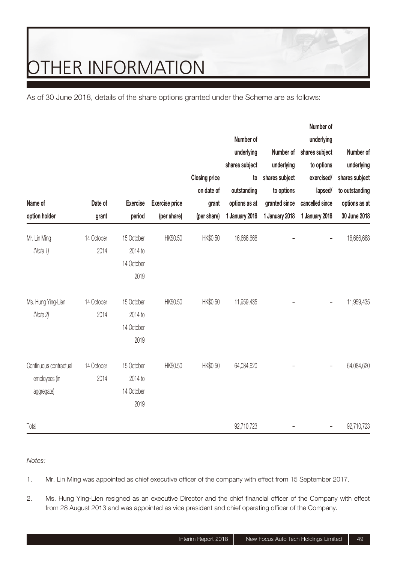As of 30 June 2018, details of the share options granted under the Scheme are as follows:

|                        |            |                 |                       |                      |                |                | Number of       |                |
|------------------------|------------|-----------------|-----------------------|----------------------|----------------|----------------|-----------------|----------------|
|                        |            |                 |                       |                      | Number of      |                | underlying      |                |
|                        |            |                 |                       |                      | underlying     | Number of      | shares subject  | Number of      |
|                        |            |                 |                       |                      | shares subject | underlying     | to options      | underlying     |
|                        |            |                 |                       | <b>Closing price</b> | to             | shares subject | exercised/      | shares subject |
|                        |            |                 |                       | on date of           | outstanding    | to options     | lapsed/         | to outstanding |
| Name of                | Date of    | <b>Exercise</b> | <b>Exercise price</b> | grant                | options as at  | granted since  | cancelled since | options as at  |
| option holder          | grant      | period          | (per share)           | (per share)          | 1 January 2018 | 1 January 2018 | 1 January 2018  | 30 June 2018   |
| Mr. Lin Ming           | 14 October | 15 October      | HK\$0.50              | HK\$0.50             | 16,666,668     |                | $\overline{a}$  | 16,666,668     |
| (Note 1)               | 2014       | 2014 to         |                       |                      |                |                |                 |                |
|                        |            | 14 October      |                       |                      |                |                |                 |                |
|                        |            | 2019            |                       |                      |                |                |                 |                |
| Ms. Hung Ying-Lien     | 14 October | 15 October      | HK\$0.50              | HK\$0.50             | 11,959,435     |                |                 | 11,959,435     |
| (Note 2)               | 2014       | 2014 to         |                       |                      |                |                |                 |                |
|                        |            | 14 October      |                       |                      |                |                |                 |                |
|                        |            | 2019            |                       |                      |                |                |                 |                |
| Continuous contractual | 14 October | 15 October      | HK\$0.50              | HK\$0.50             | 64,084,620     |                | ۰               | 64,084,620     |
| employees (in          | 2014       | 2014 to         |                       |                      |                |                |                 |                |
| aggregate)             |            | 14 October      |                       |                      |                |                |                 |                |
|                        |            | 2019            |                       |                      |                |                |                 |                |
| Total                  |            |                 |                       |                      | 92,710,723     |                |                 | 92,710,723     |

Notes:

- 1. Mr. Lin Ming was appointed as chief executive officer of the company with effect from 15 September 2017.
- 2. Ms. Hung Ying-Lien resigned as an executive Director and the chief financial officer of the Company with effect from 28 August 2013 and was appointed as vice president and chief operating officer of the Company.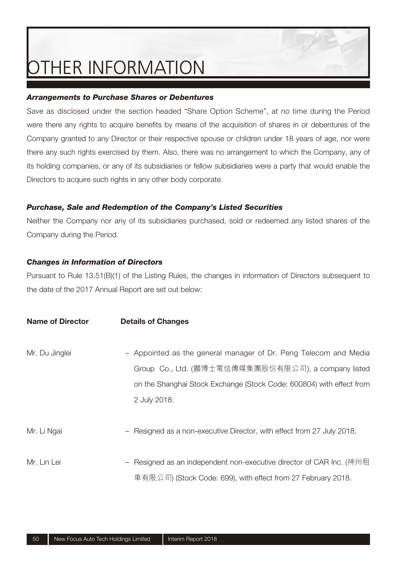#### *Arrangements to Purchase Shares or Debentures*

Save as disclosed under the section headed "Share Option Scheme", at no time during the Period were there any rights to acquire benefits by means of the acquisition of shares in or debentures of the Company granted to any Director or their respective spouse or children under 18 years of age, nor were there any such rights exercised by them. Also, there was no arrangement to which the Company, any of its holding companies, or any of its subsidiaries or fellow subsidiaries were a party that would enable the Directors to acquire such rights in any other body corporate.

#### *Purchase, Sale and Redemption of the Company's Listed Securities*

Neither the Company nor any of its subsidiaries purchased, sold or redeemed any listed shares of the Company during the Period.

#### *Changes in Information of Directors*

Pursuant to Rule 13.51(B)(1) of the Listing Rules, the changes in information of Directors subsequent to the date of the 2017 Annual Report are set out below:

| Name of Director | <b>Details of Changes</b>                                                                                                                                                                                       |
|------------------|-----------------------------------------------------------------------------------------------------------------------------------------------------------------------------------------------------------------|
| Mr. Du Jinglei   | - Appointed as the general manager of Dr. Peng Telecom and Media<br>Group Co., Ltd. (鵬博士電信傳媒集團股份有限公司), a company listed<br>on the Shanghai Stock Exchange (Stock Code: 600804) with effect from<br>2 July 2018. |
| Mr. Li Ngai      | Resigned as a non-executive Director, with effect from 27 July 2018.                                                                                                                                            |
| Mr. Lin Lei      | Resigned as an independent non-executive director of CAR Inc. (神州租<br>車有限公司) (Stock Code: 699), with effect from 27 February 2018.                                                                              |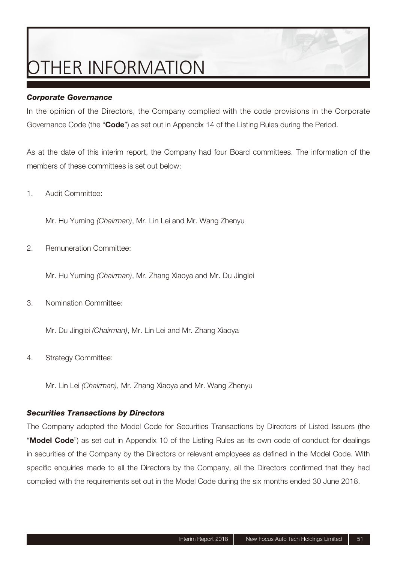#### *Corporate Governance*

In the opinion of the Directors, the Company complied with the code provisions in the Corporate Governance Code (the "**Code**") as set out in Appendix 14 of the Listing Rules during the Period.

As at the date of this interim report, the Company had four Board committees. The information of the members of these committees is set out below:

1. Audit Committee:

Mr. Hu Yuming (Chairman), Mr. Lin Lei and Mr. Wang Zhenyu

2. Remuneration Committee:

Mr. Hu Yuming (Chairman), Mr. Zhang Xiaoya and Mr. Du Jinglei

3. Nomination Committee:

Mr. Du Jinglei (Chairman), Mr. Lin Lei and Mr. Zhang Xiaoya

4. Strategy Committee:

Mr. Lin Lei (Chairman), Mr. Zhang Xiaoya and Mr. Wang Zhenyu

#### *Securities Transactions by Directors*

The Company adopted the Model Code for Securities Transactions by Directors of Listed Issuers (the "**Model Code**") as set out in Appendix 10 of the Listing Rules as its own code of conduct for dealings in securities of the Company by the Directors or relevant employees as defined in the Model Code. With specific enquiries made to all the Directors by the Company, all the Directors confirmed that they had complied with the requirements set out in the Model Code during the six months ended 30 June 2018.